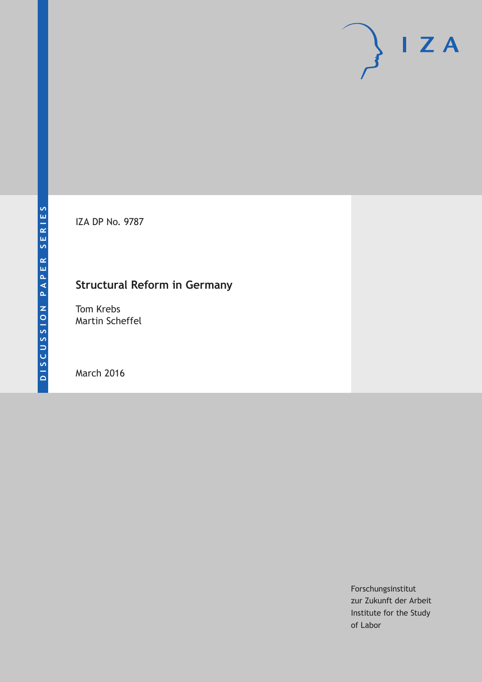IZA DP No. 9787

# **Structural Reform in Germany**

Tom Krebs Martin Scheffel

March 2016

Forschungsinstitut zur Zukunft der Arbeit Institute for the Study of Labor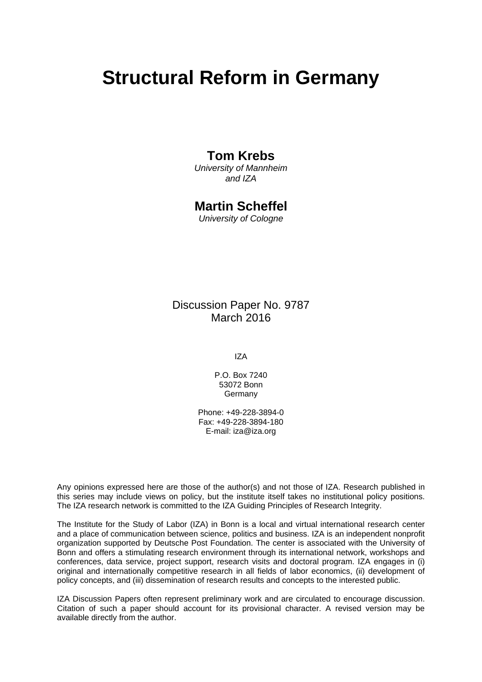# **Structural Reform in Germany**

### **Tom Krebs**

*University of Mannheim and IZA* 

### **Martin Scheffel**

*University of Cologne* 

Discussion Paper No. 9787 March 2016

IZA

P.O. Box 7240 53072 Bonn **Germany** 

Phone: +49-228-3894-0 Fax: +49-228-3894-180 E-mail: iza@iza.org

Any opinions expressed here are those of the author(s) and not those of IZA. Research published in this series may include views on policy, but the institute itself takes no institutional policy positions. The IZA research network is committed to the IZA Guiding Principles of Research Integrity.

The Institute for the Study of Labor (IZA) in Bonn is a local and virtual international research center and a place of communication between science, politics and business. IZA is an independent nonprofit organization supported by Deutsche Post Foundation. The center is associated with the University of Bonn and offers a stimulating research environment through its international network, workshops and conferences, data service, project support, research visits and doctoral program. IZA engages in (i) original and internationally competitive research in all fields of labor economics, (ii) development of policy concepts, and (iii) dissemination of research results and concepts to the interested public.

IZA Discussion Papers often represent preliminary work and are circulated to encourage discussion. Citation of such a paper should account for its provisional character. A revised version may be available directly from the author.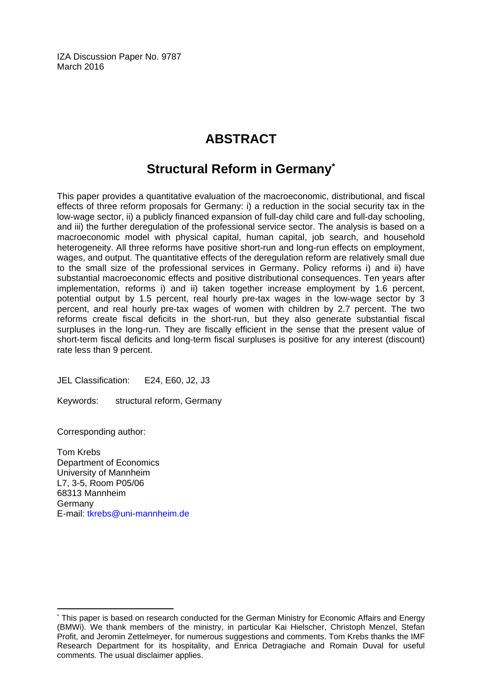IZA Discussion Paper No. 9787 March 2016

# **ABSTRACT**

# **Structural Reform in Germany\***

This paper provides a quantitative evaluation of the macroeconomic, distributional, and fiscal effects of three reform proposals for Germany: i) a reduction in the social security tax in the low-wage sector, ii) a publicly financed expansion of full-day child care and full-day schooling, and iii) the further deregulation of the professional service sector. The analysis is based on a macroeconomic model with physical capital, human capital, job search, and household heterogeneity. All three reforms have positive short-run and long-run effects on employment, wages, and output. The quantitative effects of the deregulation reform are relatively small due to the small size of the professional services in Germany. Policy reforms i) and ii) have substantial macroeconomic effects and positive distributional consequences. Ten years after implementation, reforms i) and ii) taken together increase employment by 1.6 percent, potential output by 1.5 percent, real hourly pre-tax wages in the low-wage sector by 3 percent, and real hourly pre-tax wages of women with children by 2.7 percent. The two reforms create fiscal deficits in the short-run, but they also generate substantial fiscal surpluses in the long-run. They are fiscally efficient in the sense that the present value of short-term fiscal deficits and long-term fiscal surpluses is positive for any interest (discount) rate less than 9 percent.

JEL Classification: E24, E60, J2, J3

Keywords: structural reform, Germany

Corresponding author:

 $\overline{\phantom{a}}$ 

Tom Krebs Department of Economics University of Mannheim L7, 3-5, Room P05/06 68313 Mannheim Germany E-mail: tkrebs@uni-mannheim.de

<sup>\*</sup> This paper is based on research conducted for the German Ministry for Economic Affairs and Energy (BMWi). We thank members of the ministry, in particular Kai Hielscher, Christoph Menzel, Stefan Profit, and Jeromin Zettelmeyer, for numerous suggestions and comments. Tom Krebs thanks the IMF Research Department for its hospitality, and Enrica Detragiache and Romain Duval for useful comments. The usual disclaimer applies.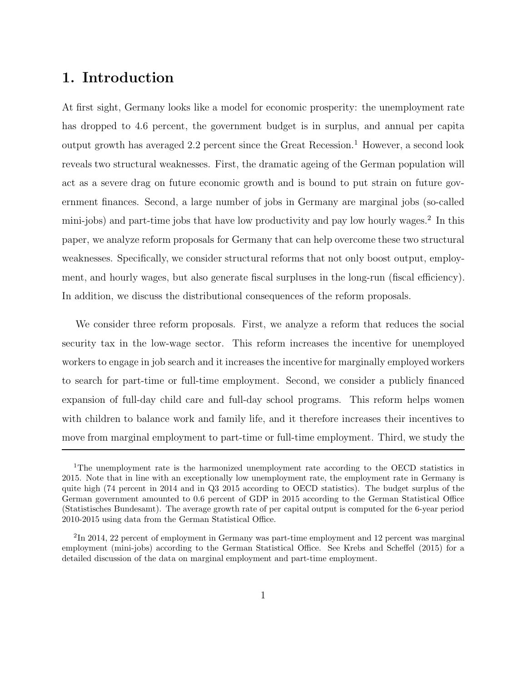### **1. Introduction**

At first sight, Germany looks like a model for economic prosperity: the unemployment rate has dropped to 4*.*6 percent, the government budget is in surplus, and annual per capita output growth has averaged 2.2 percent since the Great Recession.<sup>1</sup> However, a second look reveals two structural weaknesses. First, the dramatic ageing of the German population will act as a severe drag on future economic growth and is bound to put strain on future government finances. Second, a large number of jobs in Germany are marginal jobs (so-called mini-jobs) and part-time jobs that have low productivity and pay low hourly wages.<sup>2</sup> In this paper, we analyze reform proposals for Germany that can help overcome these two structural weaknesses. Specifically, we consider structural reforms that not only boost output, employment, and hourly wages, but also generate fiscal surpluses in the long-run (fiscal efficiency). In addition, we discuss the distributional consequences of the reform proposals.

We consider three reform proposals. First, we analyze a reform that reduces the social security tax in the low-wage sector. This reform increases the incentive for unemployed workers to engage in job search and it increases the incentive for marginally employed workers to search for part-time or full-time employment. Second, we consider a publicly financed expansion of full-day child care and full-day school programs. This reform helps women with children to balance work and family life, and it therefore increases their incentives to move from marginal employment to part-time or full-time employment. Third, we study the

<sup>&</sup>lt;sup>1</sup>The unemployment rate is the harmonized unemployment rate according to the OECD statistics in 2015. Note that in line with an exceptionally low unemployment rate, the employment rate in Germany is quite high (74 percent in 2014 and in Q3 2015 according to OECD statistics). The budget surplus of the German government amounted to 0.6 percent of GDP in 2015 according to the German Statistical Office (Statistisches Bundesamt). The average growth rate of per capital output is computed for the 6-year period 2010-2015 using data from the German Statistical Office.

<sup>2</sup>In 2014, 22 percent of employment in Germany was part-time employment and 12 percent was marginal employment (mini-jobs) according to the German Statistical Office. See Krebs and Scheffel (2015) for a detailed discussion of the data on marginal employment and part-time employment.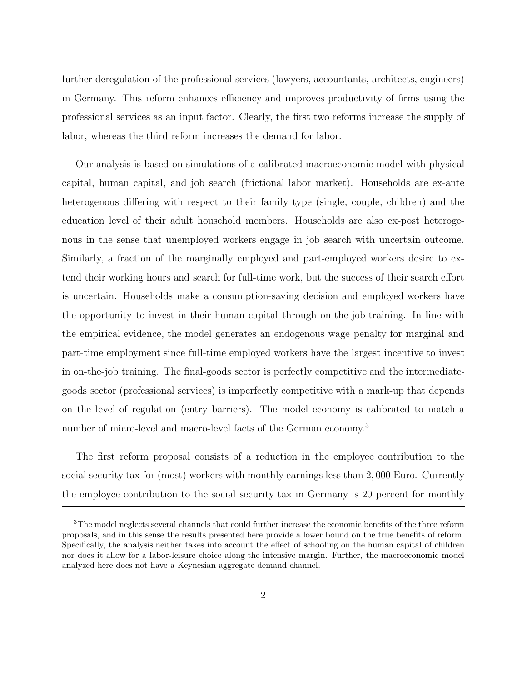further deregulation of the professional services (lawyers, accountants, architects, engineers) in Germany. This reform enhances efficiency and improves productivity of firms using the professional services as an input factor. Clearly, the first two reforms increase the supply of labor, whereas the third reform increases the demand for labor.

Our analysis is based on simulations of a calibrated macroeconomic model with physical capital, human capital, and job search (frictional labor market). Households are ex-ante heterogenous differing with respect to their family type (single, couple, children) and the education level of their adult household members. Households are also ex-post heterogenous in the sense that unemployed workers engage in job search with uncertain outcome. Similarly, a fraction of the marginally employed and part-employed workers desire to extend their working hours and search for full-time work, but the success of their search effort is uncertain. Households make a consumption-saving decision and employed workers have the opportunity to invest in their human capital through on-the-job-training. In line with the empirical evidence, the model generates an endogenous wage penalty for marginal and part-time employment since full-time employed workers have the largest incentive to invest in on-the-job training. The final-goods sector is perfectly competitive and the intermediategoods sector (professional services) is imperfectly competitive with a mark-up that depends on the level of regulation (entry barriers). The model economy is calibrated to match a number of micro-level and macro-level facts of the German economy.<sup>3</sup>

The first reform proposal consists of a reduction in the employee contribution to the social security tax for (most) workers with monthly earnings less than 2*,* 000 Euro. Currently the employee contribution to the social security tax in Germany is 20 percent for monthly

<sup>&</sup>lt;sup>3</sup>The model neglects several channels that could further increase the economic benefits of the three reform proposals, and in this sense the results presented here provide a lower bound on the true benefits of reform. Specifically, the analysis neither takes into account the effect of schooling on the human capital of children nor does it allow for a labor-leisure choice along the intensive margin. Further, the macroeconomic model analyzed here does not have a Keynesian aggregate demand channel.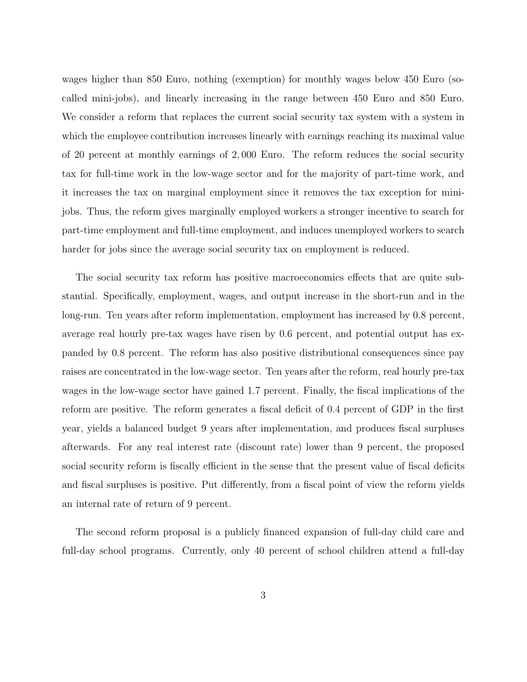wages higher than 850 Euro, nothing (exemption) for monthly wages below 450 Euro (socalled mini-jobs), and linearly increasing in the range between 450 Euro and 850 Euro. We consider a reform that replaces the current social security tax system with a system in which the employee contribution increases linearly with earnings reaching its maximal value of 20 percent at monthly earnings of 2*,* 000 Euro. The reform reduces the social security tax for full-time work in the low-wage sector and for the majority of part-time work, and it increases the tax on marginal employment since it removes the tax exception for minijobs. Thus, the reform gives marginally employed workers a stronger incentive to search for part-time employment and full-time employment, and induces unemployed workers to search harder for jobs since the average social security tax on employment is reduced.

The social security tax reform has positive macroeconomics effects that are quite substantial. Specifically, employment, wages, and output increase in the short-run and in the long-run. Ten years after reform implementation, employment has increased by 0*.*8 percent, average real hourly pre-tax wages have risen by 0*.*6 percent, and potential output has expanded by 0*.*8 percent. The reform has also positive distributional consequences since pay raises are concentrated in the low-wage sector. Ten years after the reform, real hourly pre-tax wages in the low-wage sector have gained 1*.*7 percent. Finally, the fiscal implications of the reform are positive. The reform generates a fiscal deficit of 0*.*4 percent of GDP in the first year, yields a balanced budget 9 years after implementation, and produces fiscal surpluses afterwards. For any real interest rate (discount rate) lower than 9 percent, the proposed social security reform is fiscally efficient in the sense that the present value of fiscal deficits and fiscal surpluses is positive. Put differently, from a fiscal point of view the reform yields an internal rate of return of 9 percent.

The second reform proposal is a publicly financed expansion of full-day child care and full-day school programs. Currently, only 40 percent of school children attend a full-day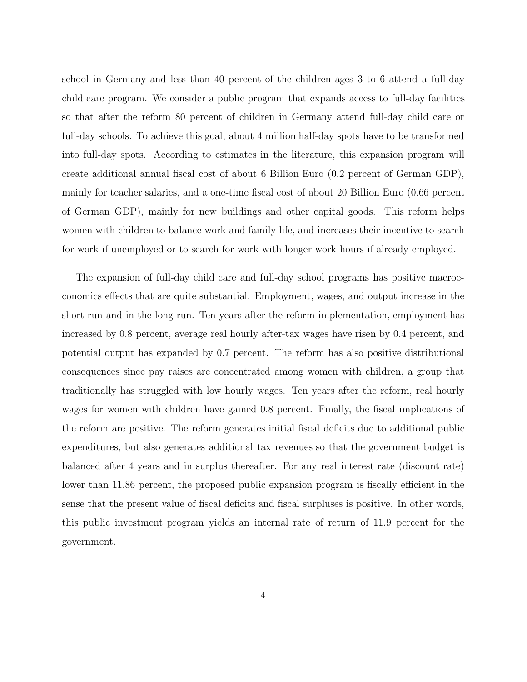school in Germany and less than 40 percent of the children ages 3 to 6 attend a full-day child care program. We consider a public program that expands access to full-day facilities so that after the reform 80 percent of children in Germany attend full-day child care or full-day schools. To achieve this goal, about 4 million half-day spots have to be transformed into full-day spots. According to estimates in the literature, this expansion program will create additional annual fiscal cost of about 6 Billion Euro (0*.*2 percent of German GDP), mainly for teacher salaries, and a one-time fiscal cost of about 20 Billion Euro (0*.*66 percent of German GDP), mainly for new buildings and other capital goods. This reform helps women with children to balance work and family life, and increases their incentive to search for work if unemployed or to search for work with longer work hours if already employed.

The expansion of full-day child care and full-day school programs has positive macroeconomics effects that are quite substantial. Employment, wages, and output increase in the short-run and in the long-run. Ten years after the reform implementation, employment has increased by 0*.*8 percent, average real hourly after-tax wages have risen by 0*.*4 percent, and potential output has expanded by 0*.*7 percent. The reform has also positive distributional consequences since pay raises are concentrated among women with children, a group that traditionally has struggled with low hourly wages. Ten years after the reform, real hourly wages for women with children have gained 0*.*8 percent. Finally, the fiscal implications of the reform are positive. The reform generates initial fiscal deficits due to additional public expenditures, but also generates additional tax revenues so that the government budget is balanced after 4 years and in surplus thereafter. For any real interest rate (discount rate) lower than 11.86 percent, the proposed public expansion program is fiscally efficient in the sense that the present value of fiscal deficits and fiscal surpluses is positive. In other words, this public investment program yields an internal rate of return of 11*.*9 percent for the government.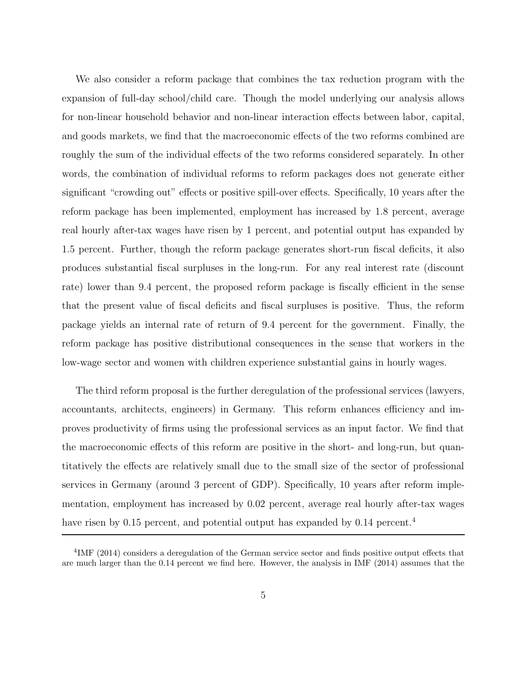We also consider a reform package that combines the tax reduction program with the expansion of full-day school/child care. Though the model underlying our analysis allows for non-linear household behavior and non-linear interaction effects between labor, capital, and goods markets, we find that the macroeconomic effects of the two reforms combined are roughly the sum of the individual effects of the two reforms considered separately. In other words, the combination of individual reforms to reform packages does not generate either significant "crowding out" effects or positive spill-over effects. Specifically, 10 years after the reform package has been implemented, employment has increased by 1*.*8 percent, average real hourly after-tax wages have risen by 1 percent, and potential output has expanded by 1*.*5 percent. Further, though the reform package generates short-run fiscal deficits, it also produces substantial fiscal surpluses in the long-run. For any real interest rate (discount rate) lower than 9*.*4 percent, the proposed reform package is fiscally efficient in the sense that the present value of fiscal deficits and fiscal surpluses is positive. Thus, the reform package yields an internal rate of return of 9*.*4 percent for the government. Finally, the reform package has positive distributional consequences in the sense that workers in the low-wage sector and women with children experience substantial gains in hourly wages.

The third reform proposal is the further deregulation of the professional services (lawyers, accountants, architects, engineers) in Germany. This reform enhances efficiency and improves productivity of firms using the professional services as an input factor. We find that the macroeconomic effects of this reform are positive in the short- and long-run, but quantitatively the effects are relatively small due to the small size of the sector of professional services in Germany (around 3 percent of GDP). Specifically, 10 years after reform implementation, employment has increased by 0*.*02 percent, average real hourly after-tax wages have risen by 0.15 percent, and potential output has expanded by 0.14 percent.<sup>4</sup>

<sup>4</sup>IMF (2014) considers a deregulation of the German service sector and finds positive output effects that are much larger than the 0.14 percent we find here. However, the analysis in IMF (2014) assumes that the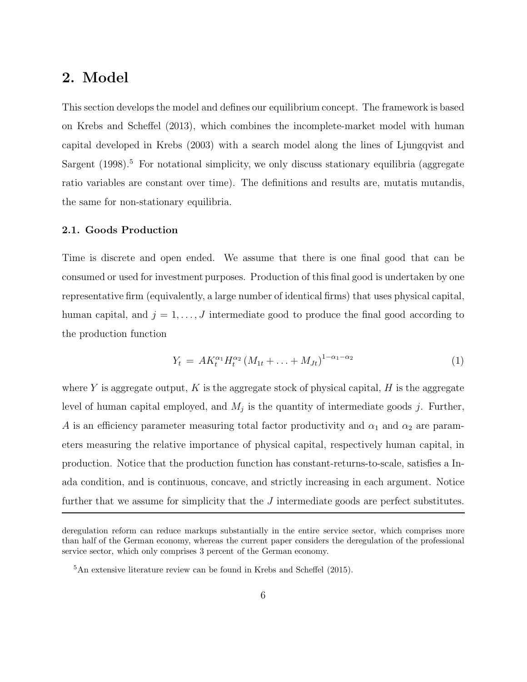### **2. Model**

This section develops the model and defines our equilibrium concept. The framework is based on Krebs and Scheffel (2013), which combines the incomplete-market model with human capital developed in Krebs (2003) with a search model along the lines of Ljungqvist and Sargent  $(1998).<sup>5</sup>$  For notational simplicity, we only discuss stationary equilibria (aggregate ratio variables are constant over time). The definitions and results are, mutatis mutandis, the same for non-stationary equilibria.

### **2.1. Goods Production**

Time is discrete and open ended. We assume that there is one final good that can be consumed or used for investment purposes. Production of this final good is undertaken by one representative firm (equivalently, a large number of identical firms) that uses physical capital, human capital, and  $j = 1, \ldots, J$  intermediate good to produce the final good according to the production function

$$
Y_t = AK_t^{\alpha_1}H_t^{\alpha_2}(M_{1t} + \ldots + M_{Jt})^{1-\alpha_1-\alpha_2}
$$
\n(1)

where  $Y$  is aggregate output,  $K$  is the aggregate stock of physical capital,  $H$  is the aggregate level of human capital employed, and  $M_j$  is the quantity of intermediate goods  $j$ . Further, *A* is an efficiency parameter measuring total factor productivity and  $\alpha_1$  and  $\alpha_2$  are parameters measuring the relative importance of physical capital, respectively human capital, in production. Notice that the production function has constant-returns-to-scale, satisfies a Inada condition, and is continuous, concave, and strictly increasing in each argument. Notice further that we assume for simplicity that the *J* intermediate goods are perfect substitutes.

deregulation reform can reduce markups substantially in the entire service sector, which comprises more than half of the German economy, whereas the current paper considers the deregulation of the professional service sector, which only comprises 3 percent of the German economy.

<sup>5</sup>An extensive literature review can be found in Krebs and Scheffel (2015).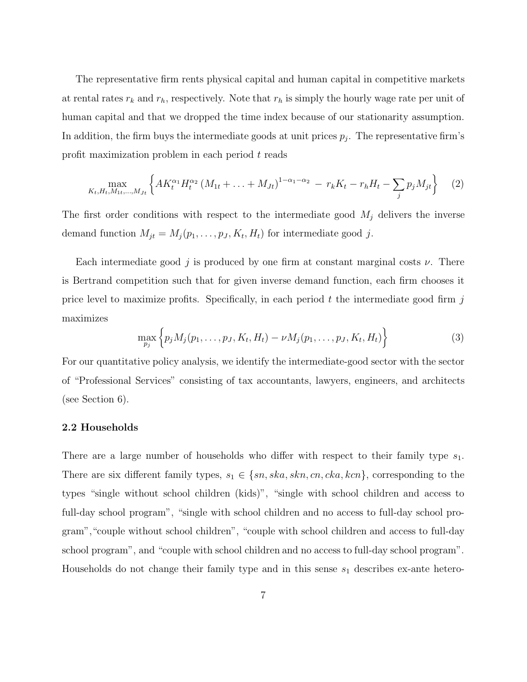The representative firm rents physical capital and human capital in competitive markets at rental rates  $r_k$  and  $r_h$ , respectively. Note that  $r_h$  is simply the hourly wage rate per unit of human capital and that we dropped the time index because of our stationarity assumption. In addition, the firm buys the intermediate goods at unit prices  $p_j$ . The representative firm's profit maximization problem in each period *t* reads

$$
\max_{K_t, H_t, M_{1t}, ..., M_{Jt}} \left\{ A K_t^{\alpha_1} H_t^{\alpha_2} \left( M_{1t} + ... + M_{Jt} \right)^{1 - \alpha_1 - \alpha_2} - r_k K_t - r_h H_t - \sum_j p_j M_{jt} \right\} \tag{2}
$$

The first order conditions with respect to the intermediate good *M*<sup>j</sup> delivers the inverse demand function  $M_{jt} = M_j(p_1, \ldots, p_J, K_t, H_t)$  for intermediate good *j*.

Each intermediate good *j* is produced by one firm at constant marginal costs *ν*. There is Bertrand competition such that for given inverse demand function, each firm chooses it price level to maximize profits. Specifically, in each period *t* the intermediate good firm *j* maximizes

$$
\max_{p_j} \left\{ p_j M_j(p_1, \dots, p_J, K_t, H_t) - \nu M_j(p_1, \dots, p_J, K_t, H_t) \right\}
$$
 (3)

For our quantitative policy analysis, we identify the intermediate-good sector with the sector of "Professional Services" consisting of tax accountants, lawyers, engineers, and architects (see Section 6).

#### **2.2 Households**

There are a large number of households who differ with respect to their family type *s*1. There are six different family types,  $s_1 \in \{sn, ska, skin,cn,cka, kcn\}$ , corresponding to the types "single without school children (kids)", "single with school children and access to full-day school program", "single with school children and no access to full-day school program","couple without school children", "couple with school children and access to full-day school program", and "couple with school children and no access to full-day school program". Households do not change their family type and in this sense  $s_1$  describes ex-ante hetero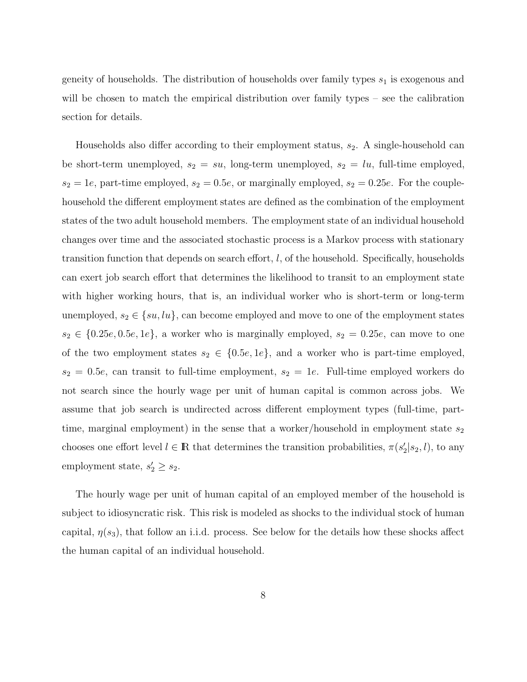geneity of households. The distribution of households over family types *s*<sup>1</sup> is exogenous and will be chosen to match the empirical distribution over family types – see the calibration section for details.

Households also differ according to their employment status,  $s_2$ . A single-household can be short-term unemployed,  $s_2 = su$ , long-term unemployed,  $s_2 = lu$ , full-time employed,  $s_2 = 1e$ , part-time employed,  $s_2 = 0.5e$ , or marginally employed,  $s_2 = 0.25e$ . For the couplehousehold the different employment states are defined as the combination of the employment states of the two adult household members. The employment state of an individual household changes over time and the associated stochastic process is a Markov process with stationary transition function that depends on search effort, *l*, of the household. Specifically, households can exert job search effort that determines the likelihood to transit to an employment state with higher working hours, that is, an individual worker who is short-term or long-term unemployed,  $s_2 \in \{su, lu\}$ , can become employed and move to one of the employment states  $s_2 \in \{0.25e, 0.5e, 1e\}$ , a worker who is marginally employed,  $s_2 = 0.25e$ , can move to one of the two employment states  $s_2 \in \{0.5e, 1e\}$ , and a worker who is part-time employed,  $s_2 = 0.5e$ , can transit to full-time employment,  $s_2 = 1e$ . Full-time employed workers do not search since the hourly wage per unit of human capital is common across jobs. We assume that job search is undirected across different employment types (full-time, parttime, marginal employment) in the sense that a worker/household in employment state  $s_2$ chooses one effort level  $l \in \mathbb{R}$  that determines the transition probabilities,  $\pi(s_2'|s_2, l)$ , to any employment state,  $s'_2 \geq s_2$ .

The hourly wage per unit of human capital of an employed member of the household is subject to idiosyncratic risk. This risk is modeled as shocks to the individual stock of human capital,  $\eta(s_3)$ , that follow an i.i.d. process. See below for the details how these shocks affect the human capital of an individual household.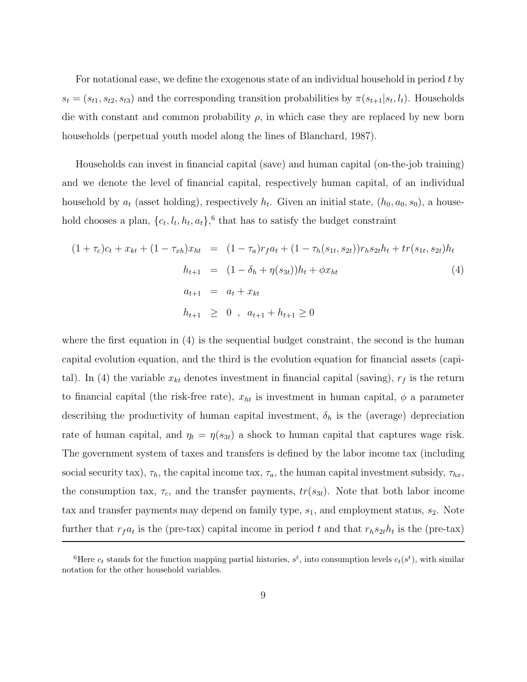For notational ease, we define the exogenous state of an individual household in period *t* by  $s_t = (s_{t1}, s_{t2}, s_{t3})$  and the corresponding transition probabilities by  $\pi(s_{t+1}|s_t, l_t)$ . Households die with constant and common probability  $\rho$ , in which case they are replaced by new born households (perpetual youth model along the lines of Blanchard, 1987).

Households can invest in financial capital (save) and human capital (on-the-job training) and we denote the level of financial capital, respectively human capital, of an individual household by  $a_t$  (asset holding), respectively  $h_t$ . Given an initial state,  $(h_0, a_0, s_0)$ , a household chooses a plan,  $\{c_t, l_t, h_t, a_t\}$ <sup>6</sup> that has to satisfy the budget constraint

$$
(1 + \tau_c)c_t + x_{kt} + (1 - \tau_{xh})x_{ht} = (1 - \tau_a)r_f a_t + (1 - \tau_h(s_{1t}, s_{2t}))r_h s_{2t}h_t + tr(s_{1t}, s_{2t})h_t
$$
  
\n
$$
h_{t+1} = (1 - \delta_h + \eta(s_{3t}))h_t + \phi x_{ht}
$$
  
\n
$$
a_{t+1} = a_t + x_{kt}
$$
  
\n
$$
h_{t+1} \geq 0, \quad a_{t+1} + h_{t+1} \geq 0
$$
 (4)

where the first equation in (4) is the sequential budget constraint, the second is the human capital evolution equation, and the third is the evolution equation for financial assets (capital). In (4) the variable  $x_{kt}$  denotes investment in financial capital (saving),  $r_f$  is the return to financial capital (the risk-free rate),  $x_{ht}$  is investment in human capital,  $\phi$  a parameter describing the productivity of human capital investment,  $\delta_h$  is the (average) depreciation rate of human capital, and  $\eta_t = \eta(s_{3t})$  a shock to human capital that captures wage risk. The government system of taxes and transfers is defined by the labor income tax (including social security tax),  $\tau_h$ , the capital income tax,  $\tau_a$ , the human capital investment subsidy,  $\tau_{hx}$ , the consumption tax,  $\tau_c$ , and the transfer payments,  $tr(s_{3t})$ . Note that both labor income tax and transfer payments may depend on family type,  $s_1$ , and employment status,  $s_2$ . Note further that  $r_f a_t$  is the (pre-tax) capital income in period t and that  $r_h s_{2t} h_t$  is the (pre-tax)

<sup>&</sup>lt;sup>6</sup>Here  $c_t$  stands for the function mapping partial histories,  $s^t$ , into consumption levels  $c_t(s^t)$ , with similar notation for the other household variables.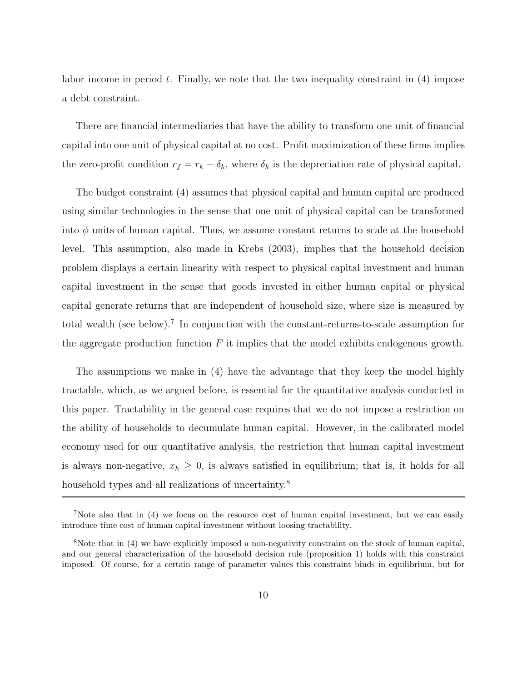labor income in period *t*. Finally, we note that the two inequality constraint in (4) impose a debt constraint.

There are financial intermediaries that have the ability to transform one unit of financial capital into one unit of physical capital at no cost. Profit maximization of these firms implies the zero-profit condition  $r_f = r_k - \delta_k$ , where  $\delta_k$  is the depreciation rate of physical capital.

The budget constraint (4) assumes that physical capital and human capital are produced using similar technologies in the sense that one unit of physical capital can be transformed into  $\phi$  units of human capital. Thus, we assume constant returns to scale at the household level. This assumption, also made in Krebs (2003), implies that the household decision problem displays a certain linearity with respect to physical capital investment and human capital investment in the sense that goods invested in either human capital or physical capital generate returns that are independent of household size, where size is measured by total wealth (see below).<sup>7</sup> In conjunction with the constant-returns-to-scale assumption for the aggregate production function *F* it implies that the model exhibits endogenous growth.

The assumptions we make in (4) have the advantage that they keep the model highly tractable, which, as we argued before, is essential for the quantitative analysis conducted in this paper. Tractability in the general case requires that we do not impose a restriction on the ability of households to decumulate human capital. However, in the calibrated model economy used for our quantitative analysis, the restriction that human capital investment is always non-negative,  $x_h \geq 0$ , is always satisfied in equilibrium; that is, it holds for all household types and all realizations of uncertainty.<sup>8</sup>

<sup>7</sup>Note also that in (4) we focus on the resource cost of human capital investment, but we can easily introduce time cost of human capital investment without loosing tractability.

<sup>8</sup>Note that in (4) we have explicitly imposed a non-negativity constraint on the stock of human capital, and our general characterization of the household decision rule (proposition 1) holds with this constraint imposed. Of course, for a certain range of parameter values this constraint binds in equilibrium, but for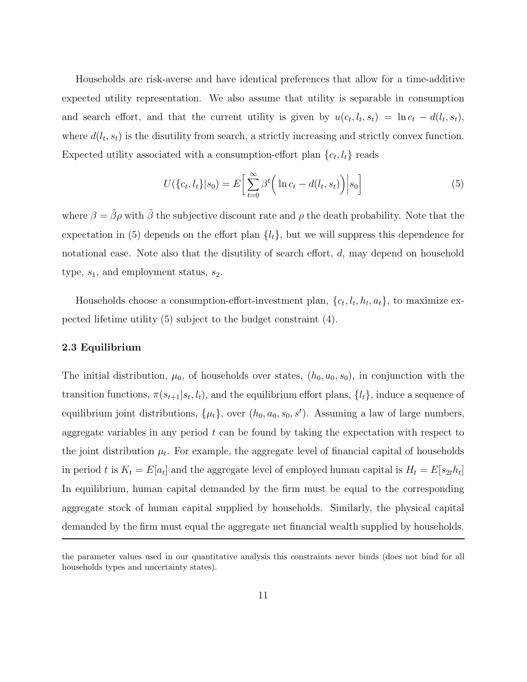Households are risk-averse and have identical preferences that allow for a time-additive expected utility representation. We also assume that utility is separable in consumption and search effort, and that the current utility is given by  $u(c_t, l_t, s_t) = \ln c_t - d(l_t, s_t)$ , where  $d(l_t, s_t)$  is the disutility from search, a strictly increasing and strictly convex function. Expected utility associated with a consumption-effort plan  ${c_t, l_t}$  reads

$$
U(\lbrace c_t, l_t \rbrace | s_0) = E\left[\sum_{t=0}^{\infty} \beta^t \left(\ln c_t - d(l_t, s_t)\right) | s_0\right]
$$
\n
$$
(5)
$$

where  $\beta = \tilde{\beta}\rho$  with  $\tilde{\beta}$  the subjective discount rate and  $\rho$  the death probability. Note that the expectation in (5) depends on the effort plan  $\{l_t\}$ , but we will suppress this dependence for notational ease. Note also that the disutility of search effort, *d*, may depend on household type,  $s_1$ , and employment status,  $s_2$ .

Households choose a consumption-effort-investment plan,  $\{c_t, l_t, h_t, a_t\}$ , to maximize expected lifetime utility (5) subject to the budget constraint (4).

#### **2.3 Equilibrium**

The initial distribution,  $\mu_0$ , of households over states,  $(h_0, a_0, s_0)$ , in conjunction with the transition functions,  $\pi(s_{t+1}|s_t, l_t)$ , and the equilibrium effort plans,  $\{l_t\}$ , induce a sequence of equilibrium joint distributions,  $\{\mu_t\}$ , over  $(h_0, a_0, s_0, s^t)$ . Assuming a law of large numbers, aggregate variables in any period *t* can be found by taking the expectation with respect to the joint distribution  $\mu_t$ . For example, the aggregate level of financial capital of households in period *t* is  $K_t = E[a_t]$  and the aggregate level of employed human capital is  $H_t = E[s_{2t}h_t]$ In equilibrium, human capital demanded by the firm must be equal to the corresponding aggregate stock of human capital supplied by households. Similarly, the physical capital demanded by the firm must equal the aggregate net financial wealth supplied by households.

the parameter values used in our quantitative analysis this constraints never binds (does not bind for all households types and uncertainty states).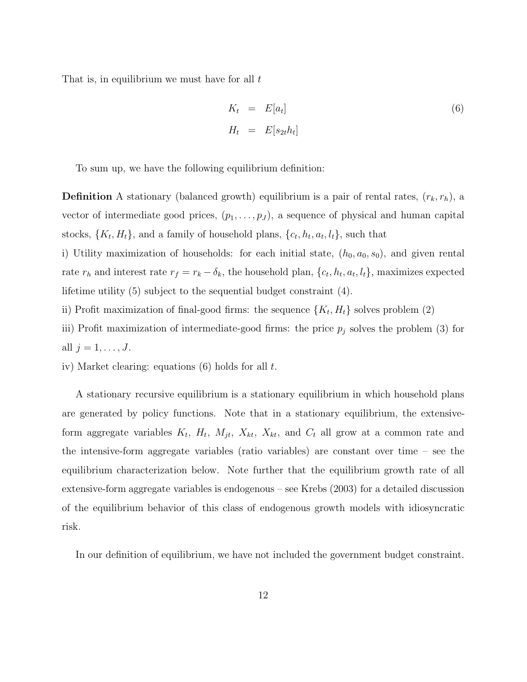That is, in equilibrium we must have for all *t*

$$
K_t = E[a_t]
$$
  
\n
$$
H_t = E[s_{2t}h_t]
$$
\n(6)

To sum up, we have the following equilibrium definition:

**Definition** A stationary (balanced growth) equilibrium is a pair of rental rates,  $(r_k, r_h)$ , a vector of intermediate good prices,  $(p_1, \ldots, p_J)$ , a sequence of physical and human capital stocks,  $\{K_t, H_t\}$ , and a family of household plans,  $\{c_t, h_t, a_t, l_t\}$ , such that

i) Utility maximization of households: for each initial state,  $(h_0, a_0, s_0)$ , and given rental rate  $r_h$  and interest rate  $r_f = r_k - \delta_k$ , the household plan,  $\{c_t, h_t, a_t, l_t\}$ , maximizes expected lifetime utility (5) subject to the sequential budget constraint (4).

- ii) Profit maximization of final-good firms: the sequence  ${K_t, H_t}$  solves problem (2)
- iii) Profit maximization of intermediate-good firms: the price *p*<sup>j</sup> solves the problem (3) for all  $j = 1, ..., J$ .
- iv) Market clearing: equations (6) holds for all *t*.

A stationary recursive equilibrium is a stationary equilibrium in which household plans are generated by policy functions. Note that in a stationary equilibrium, the extensiveform aggregate variables  $K_t$ ,  $H_t$ ,  $M_{jt}$ ,  $X_{kt}$ ,  $X_{kt}$ , and  $C_t$  all grow at a common rate and the intensive-form aggregate variables (ratio variables) are constant over time – see the equilibrium characterization below. Note further that the equilibrium growth rate of all extensive-form aggregate variables is endogenous – see Krebs (2003) for a detailed discussion of the equilibrium behavior of this class of endogenous growth models with idiosyncratic risk.

In our definition of equilibrium, we have not included the government budget constraint.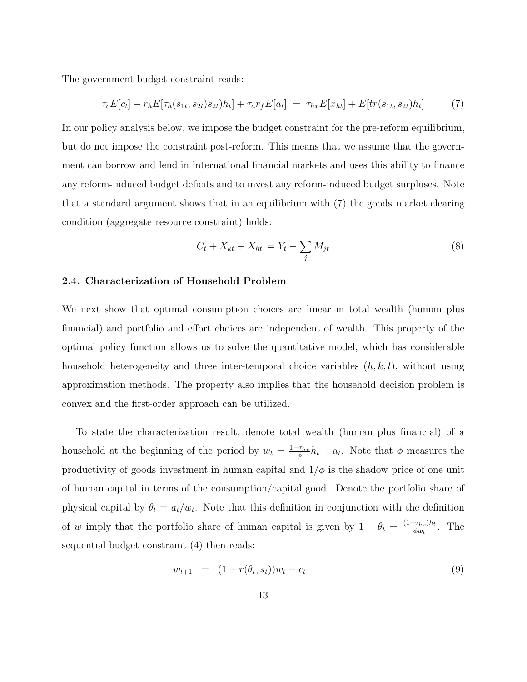The government budget constraint reads:

$$
\tau_c E[c_t] + r_h E[\tau_h(s_{1t}, s_{2t}) s_{2t}) h_t] + \tau_a r_f E[a_t] = \tau_{hx} E[x_{ht}] + E[tr(s_{1t}, s_{2t}) h_t]
$$
(7)

In our policy analysis below, we impose the budget constraint for the pre-reform equilibrium, but do not impose the constraint post-reform. This means that we assume that the government can borrow and lend in international financial markets and uses this ability to finance any reform-induced budget deficits and to invest any reform-induced budget surpluses. Note that a standard argument shows that in an equilibrium with (7) the goods market clearing condition (aggregate resource constraint) holds:

$$
C_t + X_{kt} + X_{ht} = Y_t - \sum_j M_{jt}
$$
 (8)

### **2.4. Characterization of Household Problem**

We next show that optimal consumption choices are linear in total wealth (human plus financial) and portfolio and effort choices are independent of wealth. This property of the optimal policy function allows us to solve the quantitative model, which has considerable household heterogeneity and three inter-temporal choice variables (*h, k, l*), without using approximation methods. The property also implies that the household decision problem is convex and the first-order approach can be utilized.

To state the characterization result, denote total wealth (human plus financial) of a household at the beginning of the period by  $w_t = \frac{1-\tau_{hx}}{\phi}h_t + a_t$ . Note that  $\phi$  measures the productivity of goods investment in human capital and  $1/\phi$  is the shadow price of one unit of human capital in terms of the consumption/capital good. Denote the portfolio share of physical capital by  $\theta_t = a_t/w_t$ . Note that this definition in conjunction with the definition of *w* imply that the portfolio share of human capital is given by  $1 - \theta_t = \frac{(1 - \tau_{hx})h_t}{\phi w_t}$ . The sequential budget constraint (4) then reads:

$$
w_{t+1} = (1 + r(\theta_t, s_t))w_t - c_t \tag{9}
$$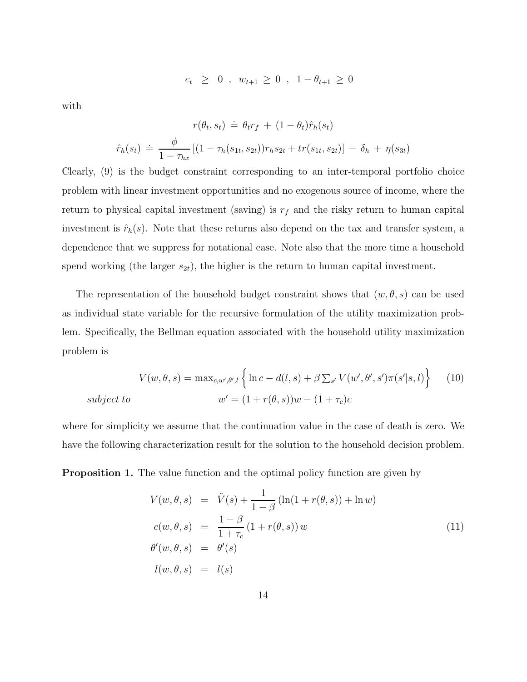$$
c_t \geq 0 , w_{t+1} \geq 0 , 1 - \theta_{t+1} \geq 0
$$

with

$$
r(\theta_t, s_t) \doteq \theta_t r_f + (1 - \theta_t) \hat{r}_h(s_t)
$$

$$
\hat{r}_h(s_t) \doteq \frac{\phi}{1 - \tau_{hx}} [(1 - \tau_h(s_{1t}, s_{2t})) r_h s_{2t} + tr(s_{1t}, s_{2t})] - \delta_h + \eta(s_{3t})
$$

Clearly, (9) is the budget constraint corresponding to an inter-temporal portfolio choice problem with linear investment opportunities and no exogenous source of income, where the return to physical capital investment (saving) is  $r_f$  and the risky return to human capital investment is  $\hat{r}_h(s)$ . Note that these returns also depend on the tax and transfer system, a dependence that we suppress for notational ease. Note also that the more time a household spend working (the larger  $s_{2t}$ ), the higher is the return to human capital investment.

The representation of the household budget constraint shows that  $(w, \theta, s)$  can be used as individual state variable for the recursive formulation of the utility maximization problem. Specifically, the Bellman equation associated with the household utility maximization problem is

$$
V(w, \theta, s) = \max_{c, w', \theta', l} \left\{ \ln c - d(l, s) + \beta \sum_{s'} V(w', \theta', s') \pi(s'|s, l) \right\}
$$
(10)  
subject to  

$$
w' = (1 + r(\theta, s))w - (1 + \tau_c)c
$$

where for simplicity we assume that the continuation value in the case of death is zero. We have the following characterization result for the solution to the household decision problem.

**Proposition 1.** The value function and the optimal policy function are given by

$$
V(w, \theta, s) = \tilde{V}(s) + \frac{1}{1 - \beta} (\ln(1 + r(\theta, s)) + \ln w)
$$
  
\n
$$
c(w, \theta, s) = \frac{1 - \beta}{1 + \tau_c} (1 + r(\theta, s)) w
$$
  
\n
$$
\theta'(w, \theta, s) = \theta'(s)
$$
  
\n
$$
l(w, \theta, s) = l(s)
$$
\n(11)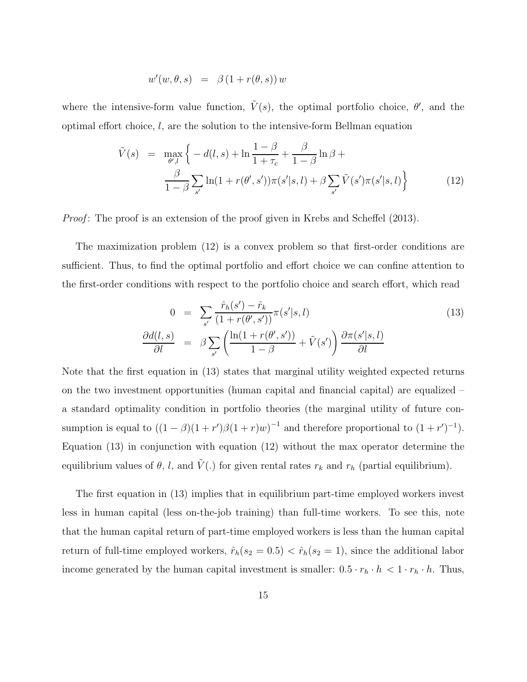$$
w'(w, \theta, s) = \beta (1 + r(\theta, s)) w
$$

where the intensive-form value function,  $\tilde{V}(s)$ , the optimal portfolio choice,  $\theta'$ , and the optimal effort choice, *l*, are the solution to the intensive-form Bellman equation

$$
\tilde{V}(s) = \max_{\theta',l} \left\{ -d(l,s) + \ln \frac{1-\beta}{1+\tau_c} + \frac{\beta}{1-\beta} \ln \beta + \frac{\beta}{1-\beta} \sum_{s'} \ln(1+r(\theta',s'))\pi(s'|s,l) + \beta \sum_{s'} \tilde{V}(s')\pi(s'|s,l) \right\}
$$
\n(12)

*Proof*: The proof is an extension of the proof given in Krebs and Scheffel (2013).

The maximization problem (12) is a convex problem so that first-order conditions are sufficient. Thus, to find the optimal portfolio and effort choice we can confine attention to the first-order conditions with respect to the portfolio choice and search effort, which read

$$
0 = \sum_{s'} \frac{\hat{r}_h(s') - \hat{r}_k}{(1 + r(\theta', s'))} \pi(s'|s, l)
$$
  
\n
$$
\frac{\partial d(l, s)}{\partial l} = \beta \sum_{s'} \left( \frac{\ln(1 + r(\theta', s'))}{1 - \beta} + \tilde{V}(s') \right) \frac{\partial \pi(s'|s, l)}{\partial l}
$$
\n(13)

Note that the first equation in (13) states that marginal utility weighted expected returns on the two investment opportunities (human capital and financial capital) are equalized – a standard optimality condition in portfolio theories (the marginal utility of future consumption is equal to  $((1 - \beta)(1 + r')\beta(1 + r)w)^{-1}$  and therefore proportional to  $(1 + r')^{-1}$ . Equation (13) in conjunction with equation (12) without the max operator determine the equilibrium values of  $\theta$ , *l*, and  $\tilde{V}$ (*.*) for given rental rates  $r_k$  and  $r_h$  (partial equilibrium).

The first equation in (13) implies that in equilibrium part-time employed workers invest less in human capital (less on-the-job training) than full-time workers. To see this, note that the human capital return of part-time employed workers is less than the human capital return of full-time employed workers,  $\hat{r}_h(s_2 = 0.5) < \hat{r}_h(s_2 = 1)$ , since the additional labor income generated by the human capital investment is smaller:  $0.5 \cdot r_h \cdot h < 1 \cdot r_h \cdot h$ . Thus,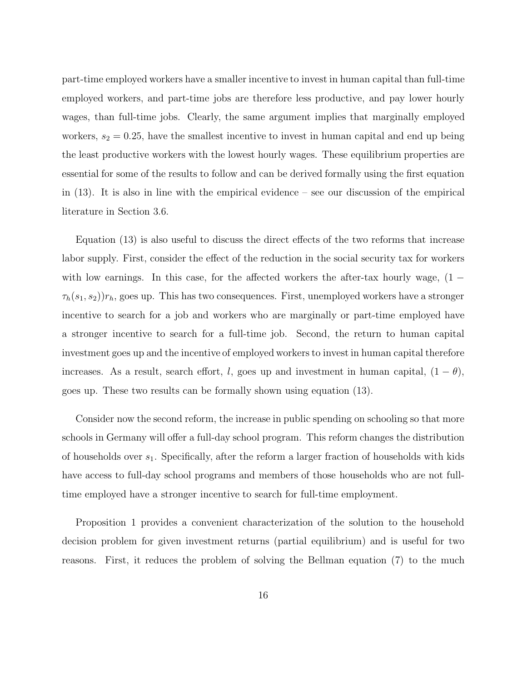part-time employed workers have a smaller incentive to invest in human capital than full-time employed workers, and part-time jobs are therefore less productive, and pay lower hourly wages, than full-time jobs. Clearly, the same argument implies that marginally employed workers,  $s_2 = 0.25$ , have the smallest incentive to invest in human capital and end up being the least productive workers with the lowest hourly wages. These equilibrium properties are essential for some of the results to follow and can be derived formally using the first equation in  $(13)$ . It is also in line with the empirical evidence – see our discussion of the empirical literature in Section 3.6.

Equation (13) is also useful to discuss the direct effects of the two reforms that increase labor supply. First, consider the effect of the reduction in the social security tax for workers with low earnings. In this case, for the affected workers the after-tax hourly wage,  $(1 \tau_h(s_1, s_2)$ ) $r_h$ , goes up. This has two consequences. First, unemployed workers have a stronger incentive to search for a job and workers who are marginally or part-time employed have a stronger incentive to search for a full-time job. Second, the return to human capital investment goes up and the incentive of employed workers to invest in human capital therefore increases. As a result, search effort, *l*, goes up and investment in human capital,  $(1 - \theta)$ , goes up. These two results can be formally shown using equation (13).

Consider now the second reform, the increase in public spending on schooling so that more schools in Germany will offer a full-day school program. This reform changes the distribution of households over *s*1. Specifically, after the reform a larger fraction of households with kids have access to full-day school programs and members of those households who are not fulltime employed have a stronger incentive to search for full-time employment.

Proposition 1 provides a convenient characterization of the solution to the household decision problem for given investment returns (partial equilibrium) and is useful for two reasons. First, it reduces the problem of solving the Bellman equation (7) to the much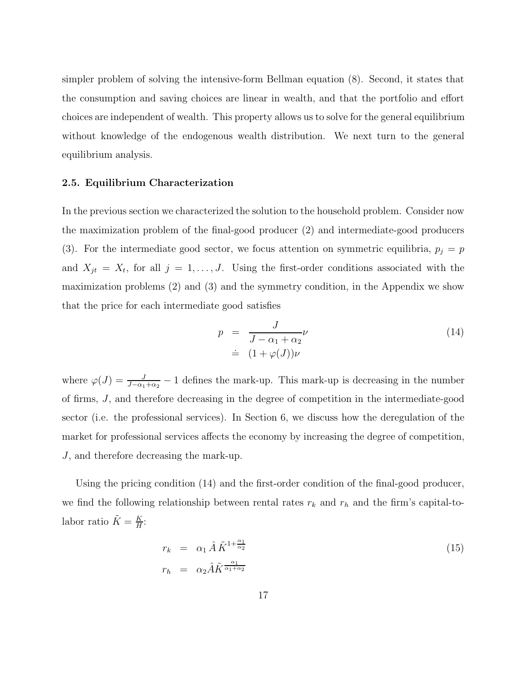simpler problem of solving the intensive-form Bellman equation (8). Second, it states that the consumption and saving choices are linear in wealth, and that the portfolio and effort choices are independent of wealth. This property allows us to solve for the general equilibrium without knowledge of the endogenous wealth distribution. We next turn to the general equilibrium analysis.

### **2.5. Equilibrium Characterization**

In the previous section we characterized the solution to the household problem. Consider now the maximization problem of the final-good producer (2) and intermediate-good producers (3). For the intermediate good sector, we focus attention on symmetric equilibria,  $p_j = p$ and  $X_{jt} = X_t$ , for all  $j = 1, \ldots, J$ . Using the first-order conditions associated with the maximization problems (2) and (3) and the symmetry condition, in the Appendix we show that the price for each intermediate good satisfies

$$
p = \frac{J}{J - \alpha_1 + \alpha_2} \nu
$$
  
\n
$$
\doteq (1 + \varphi(J))\nu
$$
\n(14)

where  $\varphi(J) = \frac{J}{J-\alpha_1+\alpha_2} - 1$  defines the mark-up. This mark-up is decreasing in the number of firms, *J*, and therefore decreasing in the degree of competition in the intermediate-good sector (i.e. the professional services). In Section 6, we discuss how the deregulation of the market for professional services affects the economy by increasing the degree of competition, *J*, and therefore decreasing the mark-up.

Using the pricing condition (14) and the first-order condition of the final-good producer, we find the following relationship between rental rates  $r_k$  and  $r_h$  and the firm's capital-tolabor ratio  $\tilde{K} = \frac{K}{H}$ :

$$
r_k = \alpha_1 \hat{A} \tilde{K}^{1 + \frac{\alpha_1}{\alpha_2}} \nr_h = \alpha_2 \hat{A} \tilde{K}^{\frac{\alpha_1}{\alpha_1 + \alpha_2}}
$$
\n(15)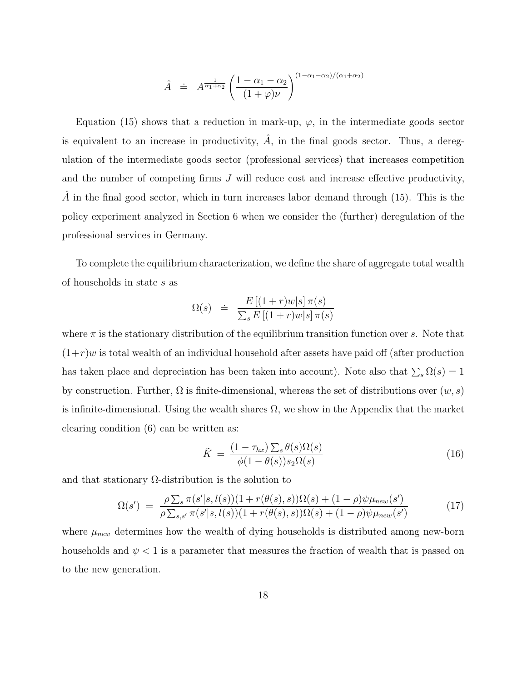$$
\hat{A} \doteq A^{\frac{1}{\alpha_1 + \alpha_2}} \left( \frac{1 - \alpha_1 - \alpha_2}{(1 + \varphi)\nu} \right)^{(1 - \alpha_1 - \alpha_2)/(\alpha_1 + \alpha_2)}
$$

Equation (15) shows that a reduction in mark-up,  $\varphi$ , in the intermediate goods sector is equivalent to an increase in productivity,  $\hat{A}$ , in the final goods sector. Thus, a deregulation of the intermediate goods sector (professional services) that increases competition and the number of competing firms *J* will reduce cost and increase effective productivity, *A* in the final good sector, which in turn increases labor demand through (15). This is the policy experiment analyzed in Section 6 when we consider the (further) deregulation of the professional services in Germany.

To complete the equilibrium characterization, we define the share of aggregate total wealth of households in state *s* as

$$
\Omega(s) \quad \doteq \quad \frac{E\left[(1+r)w|s\right]\pi(s)}{\sum_{s}E\left[(1+r)w|s\right]\pi(s)}
$$

where  $\pi$  is the stationary distribution of the equilibrium transition function over *s*. Note that  $(1+r)w$  is total wealth of an individual household after assets have paid off (after production has taken place and depreciation has been taken into account). Note also that  $\sum_{s} \Omega(s) = 1$ by construction. Further,  $\Omega$  is finite-dimensional, whereas the set of distributions over  $(w, s)$ is infinite-dimensional. Using the wealth shares  $\Omega$ , we show in the Appendix that the market clearing condition (6) can be written as:

$$
\tilde{K} = \frac{(1 - \tau_{hx}) \sum_{s} \theta(s) \Omega(s)}{\phi(1 - \theta(s)) s_2 \Omega(s)}
$$
\n(16)

and that stationary  $\Omega$ -distribution is the solution to

$$
\Omega(s') = \frac{\rho \sum_{s} \pi(s'|s, l(s))(1 + r(\theta(s), s))\Omega(s) + (1 - \rho)\psi \mu_{new}(s')}{\rho \sum_{s,s'} \pi(s'|s, l(s))(1 + r(\theta(s), s))\Omega(s) + (1 - \rho)\psi \mu_{new}(s')}
$$
(17)

where  $\mu_{new}$  determines how the wealth of dying households is distributed among new-born households and  $\psi$  < 1 is a parameter that measures the fraction of wealth that is passed on to the new generation.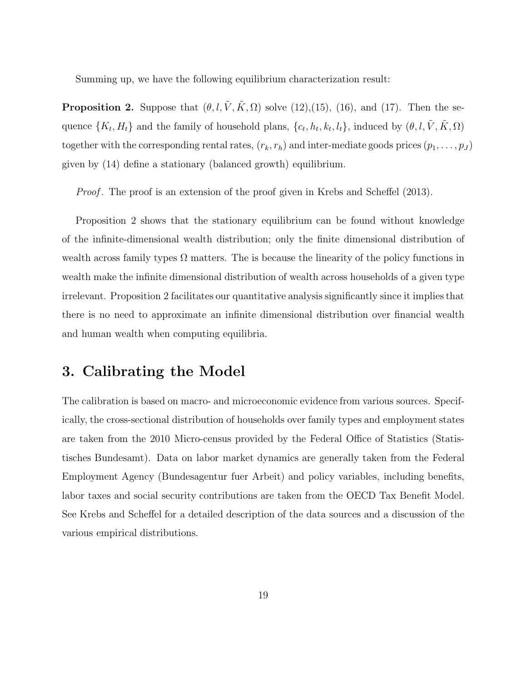Summing up, we have the following equilibrium characterization result:

**Proposition 2.** Suppose that  $(\theta, l, \tilde{V}, \tilde{K}, \Omega)$  solve (12),(15), (16), and (17). Then the sequence  $\{K_t, H_t\}$  and the family of household plans,  $\{c_t, h_t, k_t, l_t\}$ , induced by  $(\theta, l, \tilde{V}, \tilde{K}, \Omega)$ together with the corresponding rental rates,  $(r_k, r_h)$  and inter-mediate goods prices  $(p_1, \ldots, p_J)$ given by (14) define a stationary (balanced growth) equilibrium.

*Proof.* The proof is an extension of the proof given in Krebs and Scheffel (2013).

Proposition 2 shows that the stationary equilibrium can be found without knowledge of the infinite-dimensional wealth distribution; only the finite dimensional distribution of wealth across family types  $\Omega$  matters. The is because the linearity of the policy functions in wealth make the infinite dimensional distribution of wealth across households of a given type irrelevant. Proposition 2 facilitates our quantitative analysis significantly since it implies that there is no need to approximate an infinite dimensional distribution over financial wealth and human wealth when computing equilibria.

### **3. Calibrating the Model**

The calibration is based on macro- and microeconomic evidence from various sources. Specifically, the cross-sectional distribution of households over family types and employment states are taken from the 2010 Micro-census provided by the Federal Office of Statistics (Statistisches Bundesamt). Data on labor market dynamics are generally taken from the Federal Employment Agency (Bundesagentur fuer Arbeit) and policy variables, including benefits, labor taxes and social security contributions are taken from the OECD Tax Benefit Model. See Krebs and Scheffel for a detailed description of the data sources and a discussion of the various empirical distributions.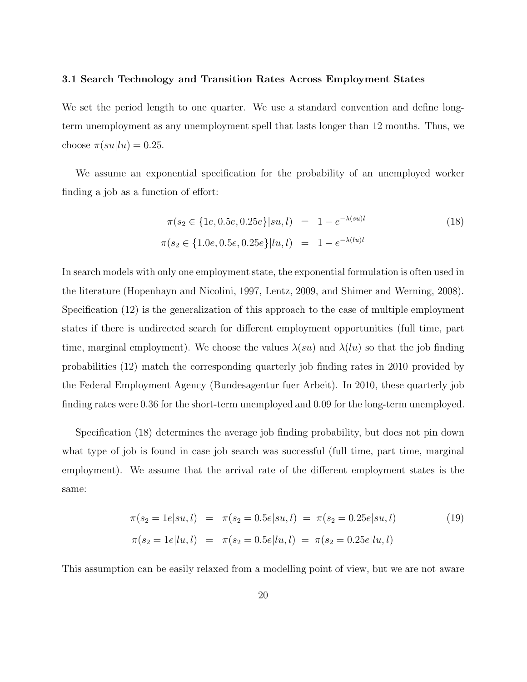#### **3.1 Search Technology and Transition Rates Across Employment States**

We set the period length to one quarter. We use a standard convention and define longterm unemployment as any unemployment spell that lasts longer than 12 months. Thus, we choose  $\pi(su|lu)=0.25$ .

We assume an exponential specification for the probability of an unemployed worker finding a job as a function of effort:

$$
\pi(s_2 \in \{1e, 0.5e, 0.25e\} | su, l) = 1 - e^{-\lambda(su)l}
$$
\n
$$
\pi(s_2 \in \{1.0e, 0.5e, 0.25e\} | lu, l) = 1 - e^{-\lambda(lu)l}
$$
\n(18)

In search models with only one employment state, the exponential formulation is often used in the literature (Hopenhayn and Nicolini, 1997, Lentz, 2009, and Shimer and Werning, 2008). Specification (12) is the generalization of this approach to the case of multiple employment states if there is undirected search for different employment opportunities (full time, part time, marginal employment). We choose the values  $\lambda(su)$  and  $\lambda(lu)$  so that the job finding probabilities (12) match the corresponding quarterly job finding rates in 2010 provided by the Federal Employment Agency (Bundesagentur fuer Arbeit). In 2010, these quarterly job finding rates were 0*.*36 for the short-term unemployed and 0*.*09 for the long-term unemployed.

Specification (18) determines the average job finding probability, but does not pin down what type of job is found in case job search was successful (full time, part time, marginal employment). We assume that the arrival rate of the different employment states is the same:

$$
\pi(s_2 = 1e|su, l) = \pi(s_2 = 0.5e|su, l) = \pi(s_2 = 0.25e|su, l)
$$
\n
$$
\pi(s_2 = 1e|lu, l) = \pi(s_2 = 0.5e|lu, l) = \pi(s_2 = 0.25e|lu, l)
$$
\n(19)

This assumption can be easily relaxed from a modelling point of view, but we are not aware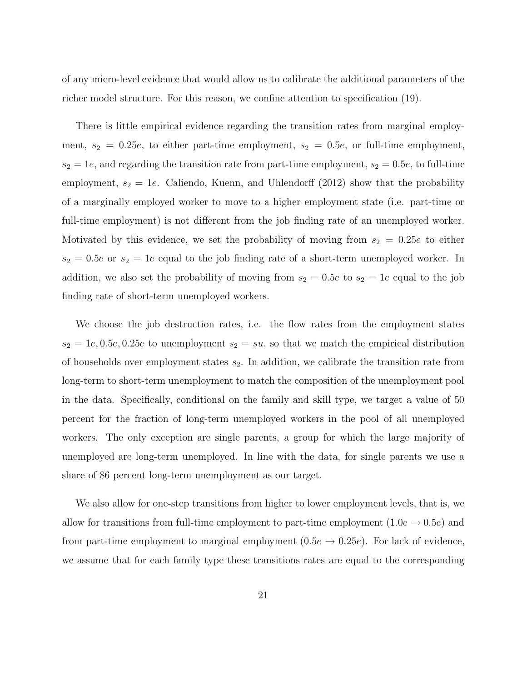of any micro-level evidence that would allow us to calibrate the additional parameters of the richer model structure. For this reason, we confine attention to specification (19).

There is little empirical evidence regarding the transition rates from marginal employment,  $s_2 = 0.25e$ , to either part-time employment,  $s_2 = 0.5e$ , or full-time employment,  $s_2 = 1e$ , and regarding the transition rate from part-time employment,  $s_2 = 0.5e$ , to full-time employment,  $s_2 = 1e$ . Caliendo, Kuenn, and Uhlendorff (2012) show that the probability of a marginally employed worker to move to a higher employment state (i.e. part-time or full-time employment) is not different from the job finding rate of an unemployed worker. Motivated by this evidence, we set the probability of moving from  $s_2 = 0.25e$  to either  $s_2 = 0.5e$  or  $s_2 = 1e$  equal to the job finding rate of a short-term unemployed worker. In addition, we also set the probability of moving from  $s_2 = 0.5e$  to  $s_2 = 1e$  equal to the job finding rate of short-term unemployed workers.

We choose the job destruction rates, i.e. the flow rates from the employment states  $s_2 = 1e, 0.5e, 0.25e$  to unemployment  $s_2 = su$ , so that we match the empirical distribution of households over employment states *s*2. In addition, we calibrate the transition rate from long-term to short-term unemployment to match the composition of the unemployment pool in the data. Specifically, conditional on the family and skill type, we target a value of 50 percent for the fraction of long-term unemployed workers in the pool of all unemployed workers. The only exception are single parents, a group for which the large majority of unemployed are long-term unemployed. In line with the data, for single parents we use a share of 86 percent long-term unemployment as our target.

We also allow for one-step transitions from higher to lower employment levels, that is, we allow for transitions from full-time employment to part-time employment  $(1.0e \rightarrow 0.5e)$  and from part-time employment to marginal employment  $(0.5e \rightarrow 0.25e)$ . For lack of evidence, we assume that for each family type these transitions rates are equal to the corresponding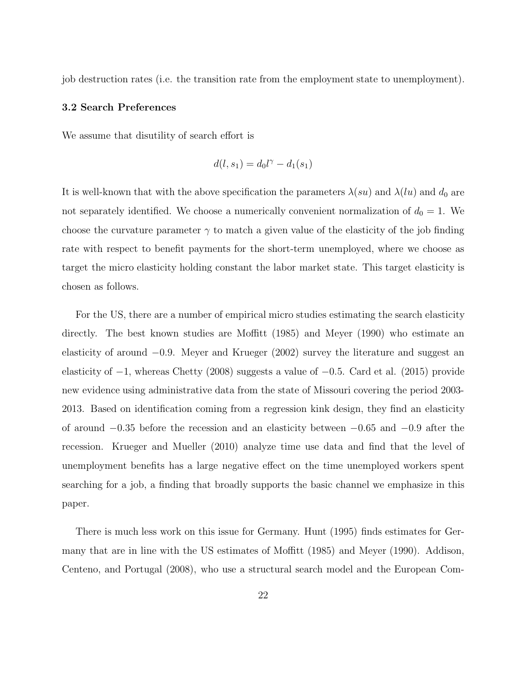job destruction rates (i.e. the transition rate from the employment state to unemployment).

### **3.2 Search Preferences**

We assume that disutility of search effort is

$$
d(l, s_1) = d_0 l^{\gamma} - d_1(s_1)
$$

It is well-known that with the above specification the parameters  $\lambda(su)$  and  $\lambda(lu)$  and  $d_0$  are not separately identified. We choose a numerically convenient normalization of  $d_0 = 1$ . We choose the curvature parameter  $\gamma$  to match a given value of the elasticity of the job finding rate with respect to benefit payments for the short-term unemployed, where we choose as target the micro elasticity holding constant the labor market state. This target elasticity is chosen as follows.

For the US, there are a number of empirical micro studies estimating the search elasticity directly. The best known studies are Moffitt (1985) and Meyer (1990) who estimate an elasticity of around −0*.*9. Meyer and Krueger (2002) survey the literature and suggest an elasticity of −1, whereas Chetty (2008) suggests a value of −0*.*5. Card et al. (2015) provide new evidence using administrative data from the state of Missouri covering the period 2003- 2013. Based on identification coming from a regression kink design, they find an elasticity of around −0*.*35 before the recession and an elasticity between −0*.*65 and −0*.*9 after the recession. Krueger and Mueller (2010) analyze time use data and find that the level of unemployment benefits has a large negative effect on the time unemployed workers spent searching for a job, a finding that broadly supports the basic channel we emphasize in this paper.

There is much less work on this issue for Germany. Hunt (1995) finds estimates for Germany that are in line with the US estimates of Moffitt (1985) and Meyer (1990). Addison, Centeno, and Portugal (2008), who use a structural search model and the European Com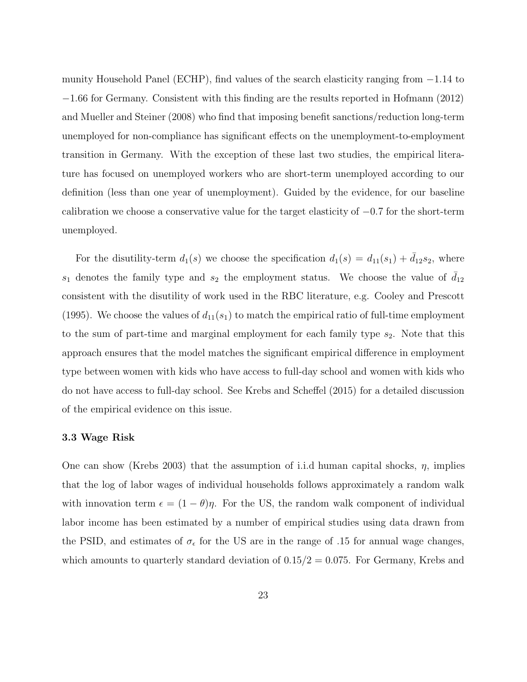munity Household Panel (ECHP), find values of the search elasticity ranging from −1*.*14 to −1*.*66 for Germany. Consistent with this finding are the results reported in Hofmann (2012) and Mueller and Steiner (2008) who find that imposing benefit sanctions/reduction long-term unemployed for non-compliance has significant effects on the unemployment-to-employment transition in Germany. With the exception of these last two studies, the empirical literature has focused on unemployed workers who are short-term unemployed according to our definition (less than one year of unemployment). Guided by the evidence, for our baseline calibration we choose a conservative value for the target elasticity of −0*.*7 for the short-term unemployed.

For the disutility-term  $d_1(s)$  we choose the specification  $d_1(s) = d_{11}(s_1) + d_{12}s_2$ , where  $s_1$  denotes the family type and  $s_2$  the employment status. We choose the value of  $\bar{d}_{12}$ consistent with the disutility of work used in the RBC literature, e.g. Cooley and Prescott (1995). We choose the values of  $d_{11}(s_1)$  to match the empirical ratio of full-time employment to the sum of part-time and marginal employment for each family type  $s_2$ . Note that this approach ensures that the model matches the significant empirical difference in employment type between women with kids who have access to full-day school and women with kids who do not have access to full-day school. See Krebs and Scheffel (2015) for a detailed discussion of the empirical evidence on this issue.

#### **3.3 Wage Risk**

One can show (Krebs 2003) that the assumption of i.i.d human capital shocks, *η*, implies that the log of labor wages of individual households follows approximately a random walk with innovation term  $\epsilon = (1 - \theta)\eta$ . For the US, the random walk component of individual labor income has been estimated by a number of empirical studies using data drawn from the PSID, and estimates of  $\sigma_{\epsilon}$  for the US are in the range of .15 for annual wage changes, which amounts to quarterly standard deviation of  $0.15/2 = 0.075$ . For Germany, Krebs and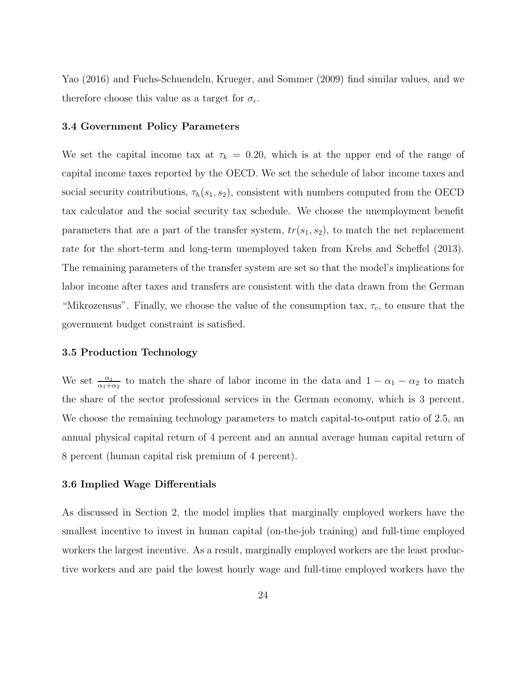Yao (2016) and Fuchs-Schuendeln, Krueger, and Sommer (2009) find similar values, and we therefore choose this value as a target for  $\sigma_\epsilon.$ 

#### **3.4 Government Policy Parameters**

We set the capital income tax at  $\tau_k = 0.20$ , which is at the upper end of the range of capital income taxes reported by the OECD. We set the schedule of labor income taxes and social security contributions,  $\tau_h(s_1, s_2)$ , consistent with numbers computed from the OECD tax calculator and the social security tax schedule. We choose the unemployment benefit parameters that are a part of the transfer system,  $tr(s_1, s_2)$ , to match the net replacement rate for the short-term and long-term unemployed taken from Krebs and Scheffel (2013). The remaining parameters of the transfer system are set so that the model's implications for labor income after taxes and transfers are consistent with the data drawn from the German "Mikrozensus". Finally, we choose the value of the consumption tax,  $\tau_c$ , to ensure that the government budget constraint is satisfied.

### **3.5 Production Technology**

We set  $\frac{\alpha_1}{\alpha_1+\alpha_2}$  to match the share of labor income in the data and  $1-\alpha_1-\alpha_2$  to match the share of the sector professional services in the German economy, which is 3 percent. We choose the remaining technology parameters to match capital-to-output ratio of 2*.*5, an annual physical capital return of 4 percent and an annual average human capital return of 8 percent (human capital risk premium of 4 percent).

#### **3.6 Implied Wage Differentials**

As discussed in Section 2, the model implies that marginally employed workers have the smallest incentive to invest in human capital (on-the-job training) and full-time employed workers the largest incentive. As a result, marginally employed workers are the least productive workers and are paid the lowest hourly wage and full-time employed workers have the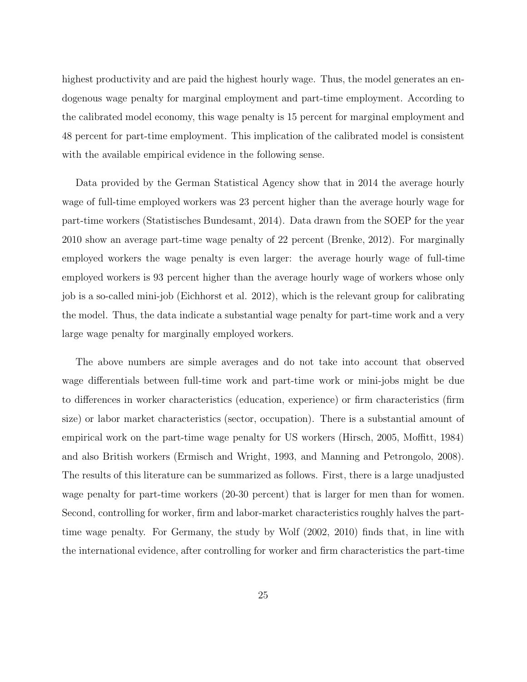highest productivity and are paid the highest hourly wage. Thus, the model generates an endogenous wage penalty for marginal employment and part-time employment. According to the calibrated model economy, this wage penalty is 15 percent for marginal employment and 48 percent for part-time employment. This implication of the calibrated model is consistent with the available empirical evidence in the following sense.

Data provided by the German Statistical Agency show that in 2014 the average hourly wage of full-time employed workers was 23 percent higher than the average hourly wage for part-time workers (Statistisches Bundesamt, 2014). Data drawn from the SOEP for the year 2010 show an average part-time wage penalty of 22 percent (Brenke, 2012). For marginally employed workers the wage penalty is even larger: the average hourly wage of full-time employed workers is 93 percent higher than the average hourly wage of workers whose only job is a so-called mini-job (Eichhorst et al. 2012), which is the relevant group for calibrating the model. Thus, the data indicate a substantial wage penalty for part-time work and a very large wage penalty for marginally employed workers.

The above numbers are simple averages and do not take into account that observed wage differentials between full-time work and part-time work or mini-jobs might be due to differences in worker characteristics (education, experience) or firm characteristics (firm size) or labor market characteristics (sector, occupation). There is a substantial amount of empirical work on the part-time wage penalty for US workers (Hirsch, 2005, Moffitt, 1984) and also British workers (Ermisch and Wright, 1993, and Manning and Petrongolo, 2008). The results of this literature can be summarized as follows. First, there is a large unadjusted wage penalty for part-time workers (20-30 percent) that is larger for men than for women. Second, controlling for worker, firm and labor-market characteristics roughly halves the parttime wage penalty. For Germany, the study by Wolf (2002, 2010) finds that, in line with the international evidence, after controlling for worker and firm characteristics the part-time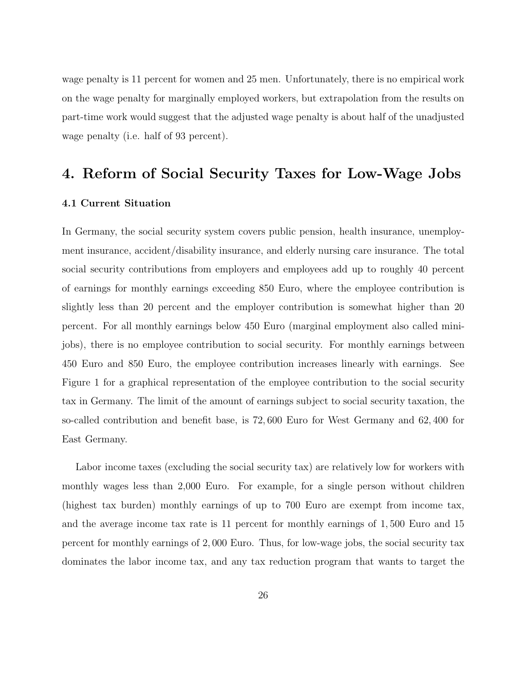wage penalty is 11 percent for women and 25 men. Unfortunately, there is no empirical work on the wage penalty for marginally employed workers, but extrapolation from the results on part-time work would suggest that the adjusted wage penalty is about half of the unadjusted wage penalty (i.e. half of 93 percent).

### **4. Reform of Social Security Taxes for Low-Wage Jobs**

### **4.1 Current Situation**

In Germany, the social security system covers public pension, health insurance, unemployment insurance, accident/disability insurance, and elderly nursing care insurance. The total social security contributions from employers and employees add up to roughly 40 percent of earnings for monthly earnings exceeding 850 Euro, where the employee contribution is slightly less than 20 percent and the employer contribution is somewhat higher than 20 percent. For all monthly earnings below 450 Euro (marginal employment also called minijobs), there is no employee contribution to social security. For monthly earnings between 450 Euro and 850 Euro, the employee contribution increases linearly with earnings. See Figure 1 for a graphical representation of the employee contribution to the social security tax in Germany. The limit of the amount of earnings subject to social security taxation, the so-called contribution and benefit base, is 72*,* 600 Euro for West Germany and 62*,* 400 for East Germany.

Labor income taxes (excluding the social security tax) are relatively low for workers with monthly wages less than 2,000 Euro. For example, for a single person without children (highest tax burden) monthly earnings of up to 700 Euro are exempt from income tax, and the average income tax rate is 11 percent for monthly earnings of 1*,* 500 Euro and 15 percent for monthly earnings of 2*,* 000 Euro. Thus, for low-wage jobs, the social security tax dominates the labor income tax, and any tax reduction program that wants to target the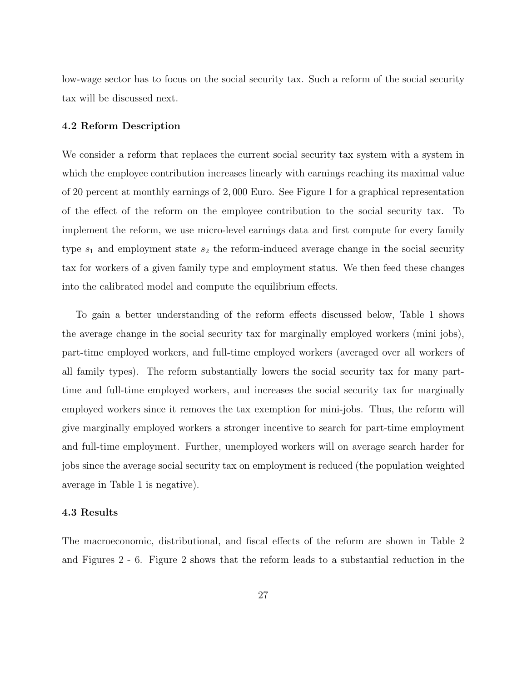low-wage sector has to focus on the social security tax. Such a reform of the social security tax will be discussed next.

### **4.2 Reform Description**

We consider a reform that replaces the current social security tax system with a system in which the employee contribution increases linearly with earnings reaching its maximal value of 20 percent at monthly earnings of 2*,* 000 Euro. See Figure 1 for a graphical representation of the effect of the reform on the employee contribution to the social security tax. To implement the reform, we use micro-level earnings data and first compute for every family type *s*<sup>1</sup> and employment state *s*<sup>2</sup> the reform-induced average change in the social security tax for workers of a given family type and employment status. We then feed these changes into the calibrated model and compute the equilibrium effects.

To gain a better understanding of the reform effects discussed below, Table 1 shows the average change in the social security tax for marginally employed workers (mini jobs), part-time employed workers, and full-time employed workers (averaged over all workers of all family types). The reform substantially lowers the social security tax for many parttime and full-time employed workers, and increases the social security tax for marginally employed workers since it removes the tax exemption for mini-jobs. Thus, the reform will give marginally employed workers a stronger incentive to search for part-time employment and full-time employment. Further, unemployed workers will on average search harder for jobs since the average social security tax on employment is reduced (the population weighted average in Table 1 is negative).

### **4.3 Results**

The macroeconomic, distributional, and fiscal effects of the reform are shown in Table 2 and Figures 2 - 6. Figure 2 shows that the reform leads to a substantial reduction in the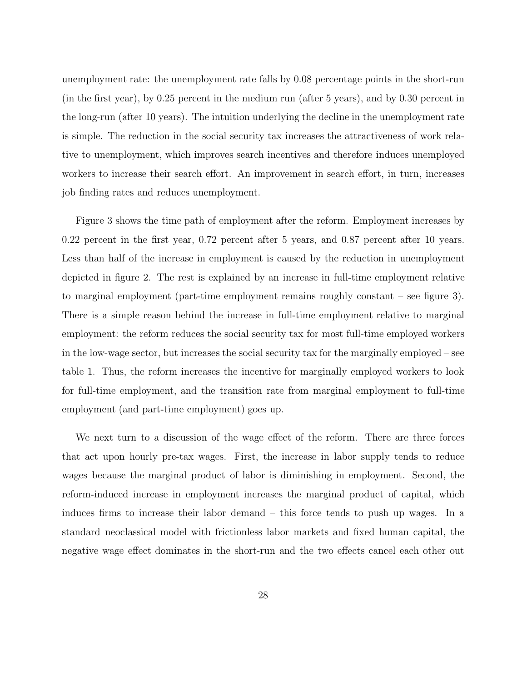unemployment rate: the unemployment rate falls by 0*.*08 percentage points in the short-run (in the first year), by 0*.*25 percent in the medium run (after 5 years), and by 0*.*30 percent in the long-run (after 10 years). The intuition underlying the decline in the unemployment rate is simple. The reduction in the social security tax increases the attractiveness of work relative to unemployment, which improves search incentives and therefore induces unemployed workers to increase their search effort. An improvement in search effort, in turn, increases job finding rates and reduces unemployment.

Figure 3 shows the time path of employment after the reform. Employment increases by 0*.*22 percent in the first year, 0*.*72 percent after 5 years, and 0*.*87 percent after 10 years. Less than half of the increase in employment is caused by the reduction in unemployment depicted in figure 2. The rest is explained by an increase in full-time employment relative to marginal employment (part-time employment remains roughly constant – see figure 3). There is a simple reason behind the increase in full-time employment relative to marginal employment: the reform reduces the social security tax for most full-time employed workers in the low-wage sector, but increases the social security tax for the marginally employed – see table 1. Thus, the reform increases the incentive for marginally employed workers to look for full-time employment, and the transition rate from marginal employment to full-time employment (and part-time employment) goes up.

We next turn to a discussion of the wage effect of the reform. There are three forces that act upon hourly pre-tax wages. First, the increase in labor supply tends to reduce wages because the marginal product of labor is diminishing in employment. Second, the reform-induced increase in employment increases the marginal product of capital, which induces firms to increase their labor demand – this force tends to push up wages. In a standard neoclassical model with frictionless labor markets and fixed human capital, the negative wage effect dominates in the short-run and the two effects cancel each other out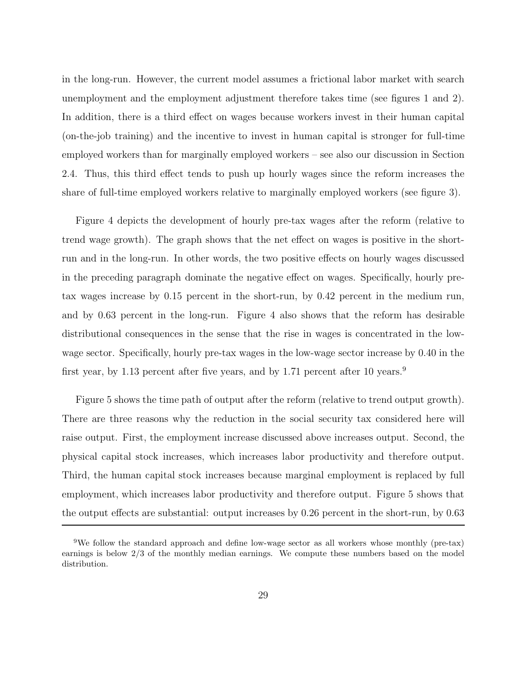in the long-run. However, the current model assumes a frictional labor market with search unemployment and the employment adjustment therefore takes time (see figures 1 and 2). In addition, there is a third effect on wages because workers invest in their human capital (on-the-job training) and the incentive to invest in human capital is stronger for full-time employed workers than for marginally employed workers – see also our discussion in Section 2.4. Thus, this third effect tends to push up hourly wages since the reform increases the share of full-time employed workers relative to marginally employed workers (see figure 3).

Figure 4 depicts the development of hourly pre-tax wages after the reform (relative to trend wage growth). The graph shows that the net effect on wages is positive in the shortrun and in the long-run. In other words, the two positive effects on hourly wages discussed in the preceding paragraph dominate the negative effect on wages. Specifically, hourly pretax wages increase by 0*.*15 percent in the short-run, by 0*.*42 percent in the medium run, and by 0*.*63 percent in the long-run. Figure 4 also shows that the reform has desirable distributional consequences in the sense that the rise in wages is concentrated in the lowwage sector. Specifically, hourly pre-tax wages in the low-wage sector increase by 0*.*40 in the first year, by 1*.*13 percent after five years, and by 1*.*71 percent after 10 years.<sup>9</sup>

Figure 5 shows the time path of output after the reform (relative to trend output growth). There are three reasons why the reduction in the social security tax considered here will raise output. First, the employment increase discussed above increases output. Second, the physical capital stock increases, which increases labor productivity and therefore output. Third, the human capital stock increases because marginal employment is replaced by full employment, which increases labor productivity and therefore output. Figure 5 shows that the output effects are substantial: output increases by 0*.*26 percent in the short-run, by 0*.*63

<sup>9</sup>We follow the standard approach and define low-wage sector as all workers whose monthly (pre-tax) earnings is below 2/3 of the monthly median earnings. We compute these numbers based on the model distribution.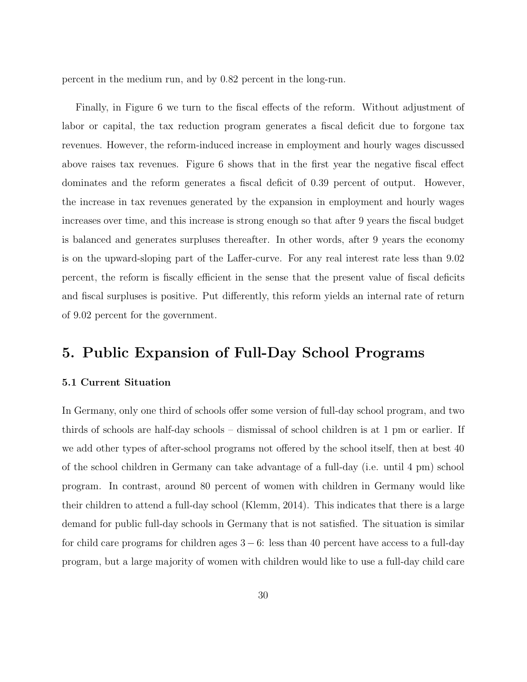percent in the medium run, and by 0*.*82 percent in the long-run.

Finally, in Figure 6 we turn to the fiscal effects of the reform. Without adjustment of labor or capital, the tax reduction program generates a fiscal deficit due to forgone tax revenues. However, the reform-induced increase in employment and hourly wages discussed above raises tax revenues. Figure 6 shows that in the first year the negative fiscal effect dominates and the reform generates a fiscal deficit of 0*.*39 percent of output. However, the increase in tax revenues generated by the expansion in employment and hourly wages increases over time, and this increase is strong enough so that after 9 years the fiscal budget is balanced and generates surpluses thereafter. In other words, after 9 years the economy is on the upward-sloping part of the Laffer-curve. For any real interest rate less than 9*.*02 percent, the reform is fiscally efficient in the sense that the present value of fiscal deficits and fiscal surpluses is positive. Put differently, this reform yields an internal rate of return of 9*.*02 percent for the government.

### **5. Public Expansion of Full-Day School Programs**

### **5.1 Current Situation**

In Germany, only one third of schools offer some version of full-day school program, and two thirds of schools are half-day schools – dismissal of school children is at 1 pm or earlier. If we add other types of after-school programs not offered by the school itself, then at best 40 of the school children in Germany can take advantage of a full-day (i.e. until 4 pm) school program. In contrast, around 80 percent of women with children in Germany would like their children to attend a full-day school (Klemm, 2014). This indicates that there is a large demand for public full-day schools in Germany that is not satisfied. The situation is similar for child care programs for children ages  $3 - 6$ : less than 40 percent have access to a full-day program, but a large majority of women with children would like to use a full-day child care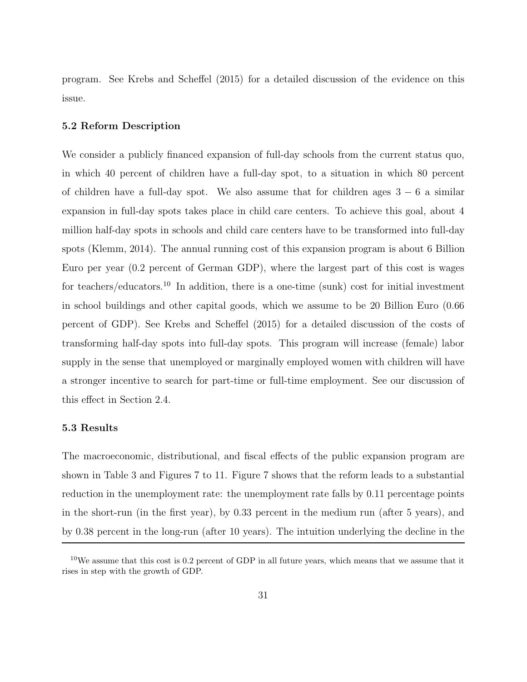program. See Krebs and Scheffel (2015) for a detailed discussion of the evidence on this issue.

### **5.2 Reform Description**

We consider a publicly financed expansion of full-day schools from the current status quo, in which 40 percent of children have a full-day spot, to a situation in which 80 percent of children have a full-day spot. We also assume that for children ages  $3 - 6$  a similar expansion in full-day spots takes place in child care centers. To achieve this goal, about 4 million half-day spots in schools and child care centers have to be transformed into full-day spots (Klemm, 2014). The annual running cost of this expansion program is about 6 Billion Euro per year (0*.*2 percent of German GDP), where the largest part of this cost is wages for teachers/educators.<sup>10</sup> In addition, there is a one-time (sunk) cost for initial investment in school buildings and other capital goods, which we assume to be 20 Billion Euro (0*.*66 percent of GDP). See Krebs and Scheffel (2015) for a detailed discussion of the costs of transforming half-day spots into full-day spots. This program will increase (female) labor supply in the sense that unemployed or marginally employed women with children will have a stronger incentive to search for part-time or full-time employment. See our discussion of this effect in Section 2.4.

### **5.3 Results**

The macroeconomic, distributional, and fiscal effects of the public expansion program are shown in Table 3 and Figures 7 to 11. Figure 7 shows that the reform leads to a substantial reduction in the unemployment rate: the unemployment rate falls by 0*.*11 percentage points in the short-run (in the first year), by 0*.*33 percent in the medium run (after 5 years), and by 0*.*38 percent in the long-run (after 10 years). The intuition underlying the decline in the

<sup>&</sup>lt;sup>10</sup>We assume that this cost is 0.2 percent of GDP in all future years, which means that we assume that it rises in step with the growth of GDP.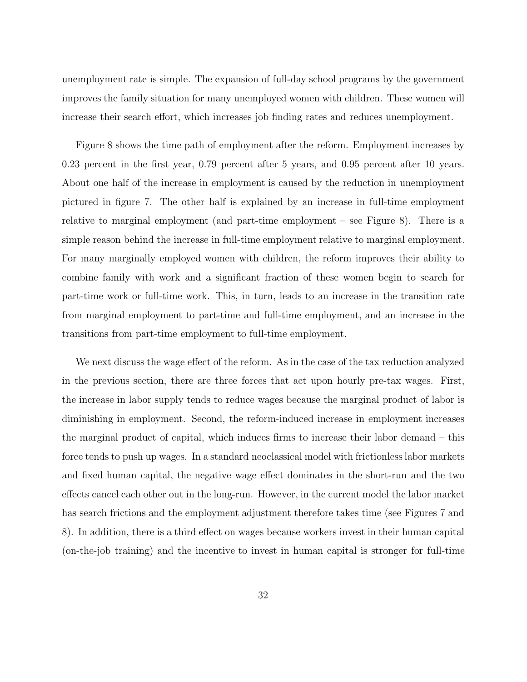unemployment rate is simple. The expansion of full-day school programs by the government improves the family situation for many unemployed women with children. These women will increase their search effort, which increases job finding rates and reduces unemployment.

Figure 8 shows the time path of employment after the reform. Employment increases by 0*.*23 percent in the first year, 0*.*79 percent after 5 years, and 0*.*95 percent after 10 years. About one half of the increase in employment is caused by the reduction in unemployment pictured in figure 7. The other half is explained by an increase in full-time employment relative to marginal employment (and part-time employment – see Figure 8). There is a simple reason behind the increase in full-time employment relative to marginal employment. For many marginally employed women with children, the reform improves their ability to combine family with work and a significant fraction of these women begin to search for part-time work or full-time work. This, in turn, leads to an increase in the transition rate from marginal employment to part-time and full-time employment, and an increase in the transitions from part-time employment to full-time employment.

We next discuss the wage effect of the reform. As in the case of the tax reduction analyzed in the previous section, there are three forces that act upon hourly pre-tax wages. First, the increase in labor supply tends to reduce wages because the marginal product of labor is diminishing in employment. Second, the reform-induced increase in employment increases the marginal product of capital, which induces firms to increase their labor demand – this force tends to push up wages. In a standard neoclassical model with frictionless labor markets and fixed human capital, the negative wage effect dominates in the short-run and the two effects cancel each other out in the long-run. However, in the current model the labor market has search frictions and the employment adjustment therefore takes time (see Figures 7 and 8). In addition, there is a third effect on wages because workers invest in their human capital (on-the-job training) and the incentive to invest in human capital is stronger for full-time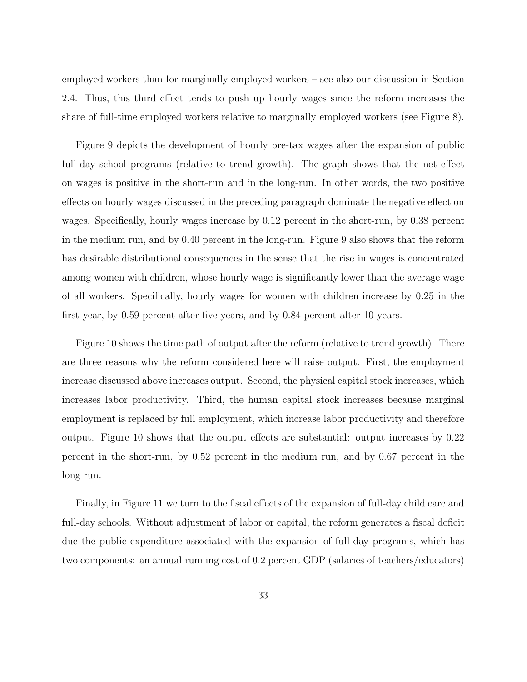employed workers than for marginally employed workers – see also our discussion in Section 2.4. Thus, this third effect tends to push up hourly wages since the reform increases the share of full-time employed workers relative to marginally employed workers (see Figure 8).

Figure 9 depicts the development of hourly pre-tax wages after the expansion of public full-day school programs (relative to trend growth). The graph shows that the net effect on wages is positive in the short-run and in the long-run. In other words, the two positive effects on hourly wages discussed in the preceding paragraph dominate the negative effect on wages. Specifically, hourly wages increase by 0*.*12 percent in the short-run, by 0*.*38 percent in the medium run, and by 0*.*40 percent in the long-run. Figure 9 also shows that the reform has desirable distributional consequences in the sense that the rise in wages is concentrated among women with children, whose hourly wage is significantly lower than the average wage of all workers. Specifically, hourly wages for women with children increase by 0*.*25 in the first year, by 0*.*59 percent after five years, and by 0*.*84 percent after 10 years.

Figure 10 shows the time path of output after the reform (relative to trend growth). There are three reasons why the reform considered here will raise output. First, the employment increase discussed above increases output. Second, the physical capital stock increases, which increases labor productivity. Third, the human capital stock increases because marginal employment is replaced by full employment, which increase labor productivity and therefore output. Figure 10 shows that the output effects are substantial: output increases by 0*.*22 percent in the short-run, by 0*.*52 percent in the medium run, and by 0*.*67 percent in the long-run.

Finally, in Figure 11 we turn to the fiscal effects of the expansion of full-day child care and full-day schools. Without adjustment of labor or capital, the reform generates a fiscal deficit due the public expenditure associated with the expansion of full-day programs, which has two components: an annual running cost of 0*.*2 percent GDP (salaries of teachers/educators)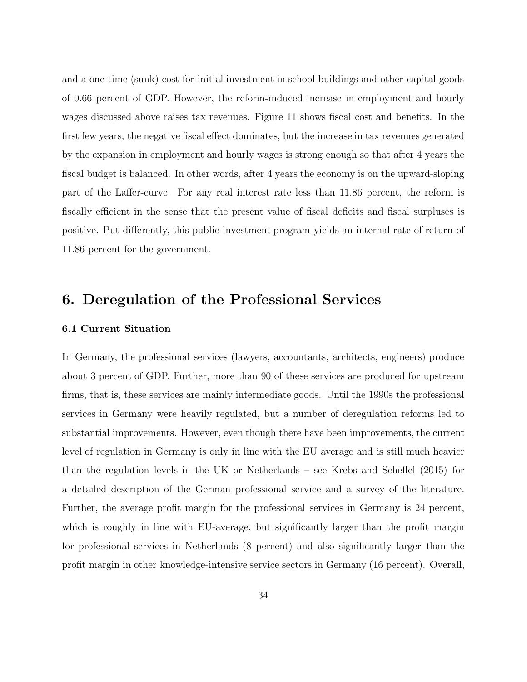and a one-time (sunk) cost for initial investment in school buildings and other capital goods of 0*.*66 percent of GDP. However, the reform-induced increase in employment and hourly wages discussed above raises tax revenues. Figure 11 shows fiscal cost and benefits. In the first few years, the negative fiscal effect dominates, but the increase in tax revenues generated by the expansion in employment and hourly wages is strong enough so that after 4 years the fiscal budget is balanced. In other words, after 4 years the economy is on the upward-sloping part of the Laffer-curve. For any real interest rate less than 11*.*86 percent, the reform is fiscally efficient in the sense that the present value of fiscal deficits and fiscal surpluses is positive. Put differently, this public investment program yields an internal rate of return of 11*.*86 percent for the government.

### **6. Deregulation of the Professional Services**

### **6.1 Current Situation**

In Germany, the professional services (lawyers, accountants, architects, engineers) produce about 3 percent of GDP. Further, more than 90 of these services are produced for upstream firms, that is, these services are mainly intermediate goods. Until the 1990s the professional services in Germany were heavily regulated, but a number of deregulation reforms led to substantial improvements. However, even though there have been improvements, the current level of regulation in Germany is only in line with the EU average and is still much heavier than the regulation levels in the UK or Netherlands – see Krebs and Scheffel (2015) for a detailed description of the German professional service and a survey of the literature. Further, the average profit margin for the professional services in Germany is 24 percent, which is roughly in line with EU-average, but significantly larger than the profit margin for professional services in Netherlands (8 percent) and also significantly larger than the profit margin in other knowledge-intensive service sectors in Germany (16 percent). Overall,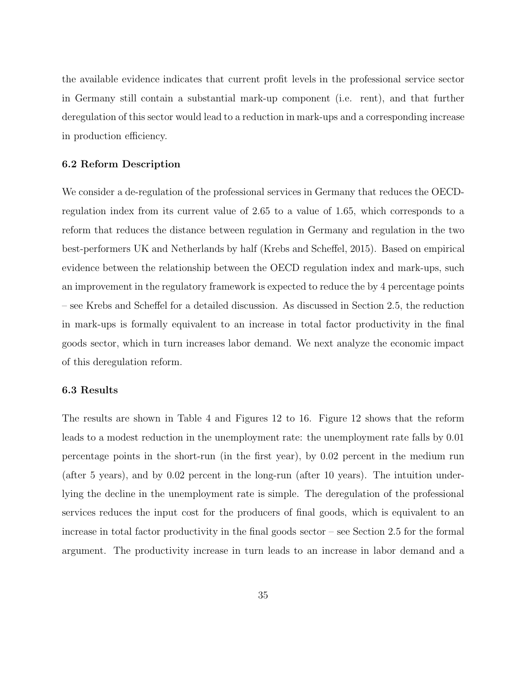the available evidence indicates that current profit levels in the professional service sector in Germany still contain a substantial mark-up component (i.e. rent), and that further deregulation of this sector would lead to a reduction in mark-ups and a corresponding increase in production efficiency.

### **6.2 Reform Description**

We consider a de-regulation of the professional services in Germany that reduces the OECDregulation index from its current value of 2*.*65 to a value of 1*.*65, which corresponds to a reform that reduces the distance between regulation in Germany and regulation in the two best-performers UK and Netherlands by half (Krebs and Scheffel, 2015). Based on empirical evidence between the relationship between the OECD regulation index and mark-ups, such an improvement in the regulatory framework is expected to reduce the by 4 percentage points – see Krebs and Scheffel for a detailed discussion. As discussed in Section 2.5, the reduction in mark-ups is formally equivalent to an increase in total factor productivity in the final goods sector, which in turn increases labor demand. We next analyze the economic impact of this deregulation reform.

#### **6.3 Results**

The results are shown in Table 4 and Figures 12 to 16. Figure 12 shows that the reform leads to a modest reduction in the unemployment rate: the unemployment rate falls by 0*.*01 percentage points in the short-run (in the first year), by 0*.*02 percent in the medium run (after 5 years), and by 0*.*02 percent in the long-run (after 10 years). The intuition underlying the decline in the unemployment rate is simple. The deregulation of the professional services reduces the input cost for the producers of final goods, which is equivalent to an increase in total factor productivity in the final goods sector – see Section 2.5 for the formal argument. The productivity increase in turn leads to an increase in labor demand and a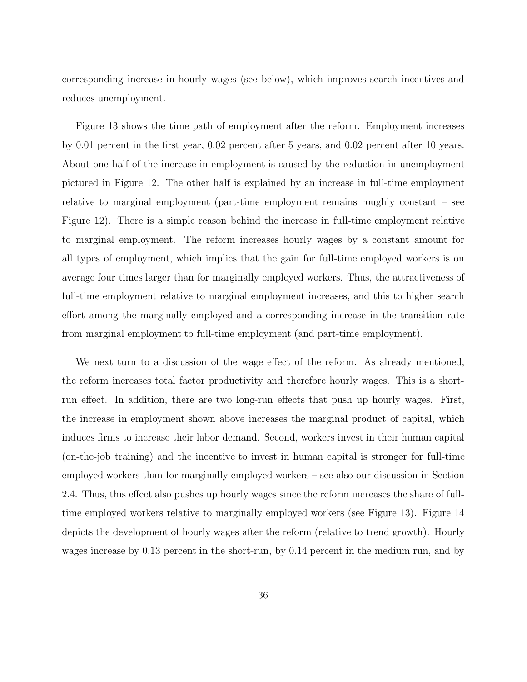corresponding increase in hourly wages (see below), which improves search incentives and reduces unemployment.

Figure 13 shows the time path of employment after the reform. Employment increases by 0*.*01 percent in the first year, 0*.*02 percent after 5 years, and 0*.*02 percent after 10 years. About one half of the increase in employment is caused by the reduction in unemployment pictured in Figure 12. The other half is explained by an increase in full-time employment relative to marginal employment (part-time employment remains roughly constant – see Figure 12). There is a simple reason behind the increase in full-time employment relative to marginal employment. The reform increases hourly wages by a constant amount for all types of employment, which implies that the gain for full-time employed workers is on average four times larger than for marginally employed workers. Thus, the attractiveness of full-time employment relative to marginal employment increases, and this to higher search effort among the marginally employed and a corresponding increase in the transition rate from marginal employment to full-time employment (and part-time employment).

We next turn to a discussion of the wage effect of the reform. As already mentioned, the reform increases total factor productivity and therefore hourly wages. This is a shortrun effect. In addition, there are two long-run effects that push up hourly wages. First, the increase in employment shown above increases the marginal product of capital, which induces firms to increase their labor demand. Second, workers invest in their human capital (on-the-job training) and the incentive to invest in human capital is stronger for full-time employed workers than for marginally employed workers – see also our discussion in Section 2.4. Thus, this effect also pushes up hourly wages since the reform increases the share of fulltime employed workers relative to marginally employed workers (see Figure 13). Figure 14 depicts the development of hourly wages after the reform (relative to trend growth). Hourly wages increase by 0*.*13 percent in the short-run, by 0*.*14 percent in the medium run, and by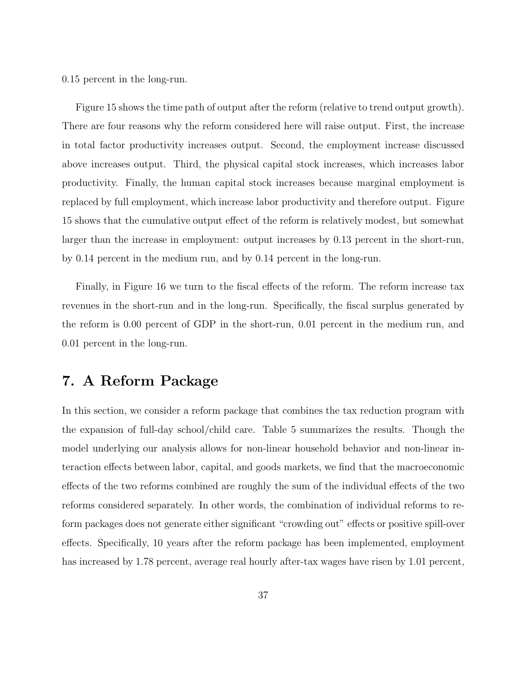0*.*15 percent in the long-run.

Figure 15 shows the time path of output after the reform (relative to trend output growth). There are four reasons why the reform considered here will raise output. First, the increase in total factor productivity increases output. Second, the employment increase discussed above increases output. Third, the physical capital stock increases, which increases labor productivity. Finally, the human capital stock increases because marginal employment is replaced by full employment, which increase labor productivity and therefore output. Figure 15 shows that the cumulative output effect of the reform is relatively modest, but somewhat larger than the increase in employment: output increases by 0*.*13 percent in the short-run, by 0*.*14 percent in the medium run, and by 0*.*14 percent in the long-run.

Finally, in Figure 16 we turn to the fiscal effects of the reform. The reform increase tax revenues in the short-run and in the long-run. Specifically, the fiscal surplus generated by the reform is 0*.*00 percent of GDP in the short-run, 0*.*01 percent in the medium run, and 0*.*01 percent in the long-run.

### **7. A Reform Package**

In this section, we consider a reform package that combines the tax reduction program with the expansion of full-day school/child care. Table 5 summarizes the results. Though the model underlying our analysis allows for non-linear household behavior and non-linear interaction effects between labor, capital, and goods markets, we find that the macroeconomic effects of the two reforms combined are roughly the sum of the individual effects of the two reforms considered separately. In other words, the combination of individual reforms to reform packages does not generate either significant "crowding out" effects or positive spill-over effects. Specifically, 10 years after the reform package has been implemented, employment has increased by 1*.*78 percent, average real hourly after-tax wages have risen by 1*.*01 percent,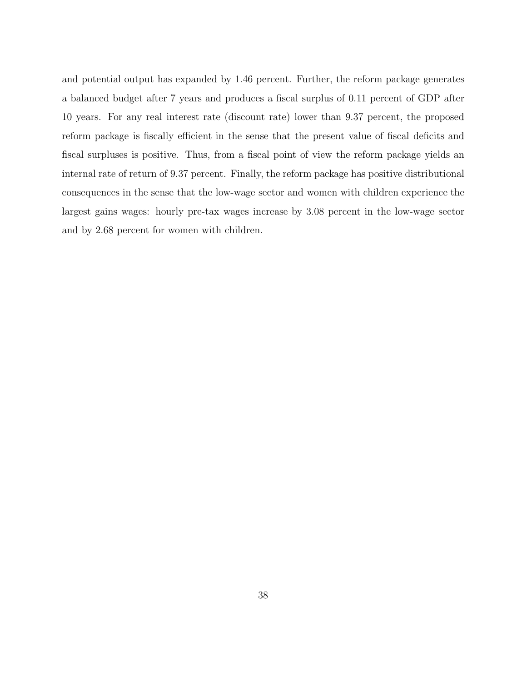and potential output has expanded by 1*.*46 percent. Further, the reform package generates a balanced budget after 7 years and produces a fiscal surplus of 0*.*11 percent of GDP after 10 years. For any real interest rate (discount rate) lower than 9*.*37 percent, the proposed reform package is fiscally efficient in the sense that the present value of fiscal deficits and fiscal surpluses is positive. Thus, from a fiscal point of view the reform package yields an internal rate of return of 9*.*37 percent. Finally, the reform package has positive distributional consequences in the sense that the low-wage sector and women with children experience the largest gains wages: hourly pre-tax wages increase by 3*.*08 percent in the low-wage sector and by 2*.*68 percent for women with children.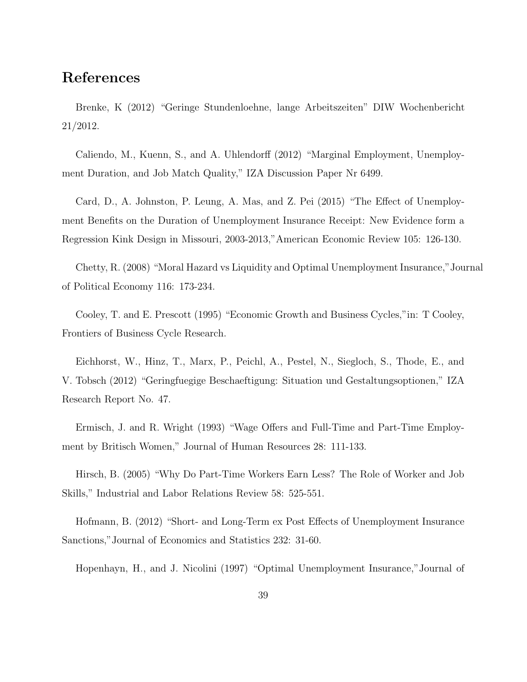### **References**

Brenke, K (2012) "Geringe Stundenloehne, lange Arbeitszeiten" DIW Wochenbericht 21/2012.

Caliendo, M., Kuenn, S., and A. Uhlendorff (2012) "Marginal Employment, Unemployment Duration, and Job Match Quality," IZA Discussion Paper Nr 6499.

Card, D., A. Johnston, P. Leung, A. Mas, and Z. Pei (2015) "The Effect of Unemployment Benefits on the Duration of Unemployment Insurance Receipt: New Evidence form a Regression Kink Design in Missouri, 2003-2013,"American Economic Review 105: 126-130.

Chetty, R. (2008) "Moral Hazard vs Liquidity and Optimal Unemployment Insurance,"Journal of Political Economy 116: 173-234.

Cooley, T. and E. Prescott (1995) "Economic Growth and Business Cycles,"in: T Cooley, Frontiers of Business Cycle Research.

Eichhorst, W., Hinz, T., Marx, P., Peichl, A., Pestel, N., Siegloch, S., Thode, E., and V. Tobsch (2012) "Geringfuegige Beschaeftigung: Situation und Gestaltungsoptionen," IZA Research Report No. 47.

Ermisch, J. and R. Wright (1993) "Wage Offers and Full-Time and Part-Time Employment by Britisch Women," Journal of Human Resources 28: 111-133.

Hirsch, B. (2005) "Why Do Part-Time Workers Earn Less? The Role of Worker and Job Skills," Industrial and Labor Relations Review 58: 525-551.

Hofmann, B. (2012) "Short- and Long-Term ex Post Effects of Unemployment Insurance Sanctions,"Journal of Economics and Statistics 232: 31-60.

Hopenhayn, H., and J. Nicolini (1997) "Optimal Unemployment Insurance,"Journal of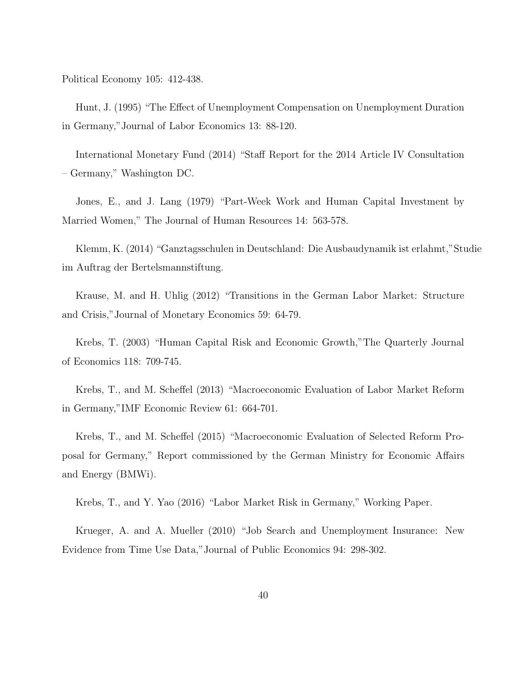Political Economy 105: 412-438.

Hunt, J. (1995) "The Effect of Unemployment Compensation on Unemployment Duration in Germany,"Journal of Labor Economics 13: 88-120.

International Monetary Fund (2014) "Staff Report for the 2014 Article IV Consultation – Germany," Washington DC.

Jones, E., and J. Lang (1979) "Part-Week Work and Human Capital Investment by Married Women," The Journal of Human Resources 14: 563-578.

Klemm, K. (2014) "Ganztagsschulen in Deutschland: Die Ausbaudynamik ist erlahmt,"Studie im Auftrag der Bertelsmannstiftung.

Krause, M. and H. Uhlig (2012) "Transitions in the German Labor Market: Structure and Crisis,"Journal of Monetary Economics 59: 64-79.

Krebs, T. (2003) "Human Capital Risk and Economic Growth,"The Quarterly Journal of Economics 118: 709-745.

Krebs, T., and M. Scheffel (2013) "Macroeconomic Evaluation of Labor Market Reform in Germany,"IMF Economic Review 61: 664-701.

Krebs, T., and M. Scheffel (2015) "Macroeconomic Evaluation of Selected Reform Proposal for Germany," Report commissioned by the German Ministry for Economic Affairs and Energy (BMWi).

Krebs, T., and Y. Yao (2016) "Labor Market Risk in Germany," Working Paper.

Krueger, A. and A. Mueller (2010) "Job Search and Unemployment Insurance: New Evidence from Time Use Data,"Journal of Public Economics 94: 298-302.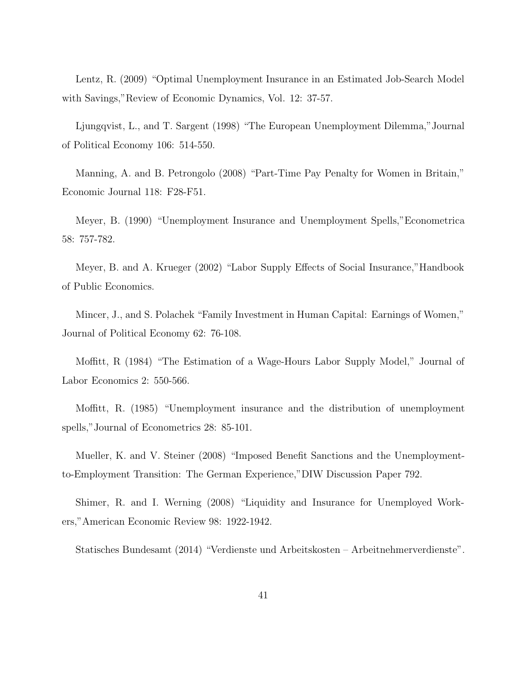Lentz, R. (2009) "Optimal Unemployment Insurance in an Estimated Job-Search Model with Savings,"Review of Economic Dynamics, Vol. 12: 37-57.

Ljungqvist, L., and T. Sargent (1998) "The European Unemployment Dilemma,"Journal of Political Economy 106: 514-550.

Manning, A. and B. Petrongolo (2008) "Part-Time Pay Penalty for Women in Britain," Economic Journal 118: F28-F51.

Meyer, B. (1990) "Unemployment Insurance and Unemployment Spells,"Econometrica 58: 757-782.

Meyer, B. and A. Krueger (2002) "Labor Supply Effects of Social Insurance,"Handbook of Public Economics.

Mincer, J., and S. Polachek "Family Investment in Human Capital: Earnings of Women," Journal of Political Economy 62: 76-108.

Moffitt, R (1984) "The Estimation of a Wage-Hours Labor Supply Model," Journal of Labor Economics 2: 550-566.

Moffitt, R. (1985) "Unemployment insurance and the distribution of unemployment spells,"Journal of Econometrics 28: 85-101.

Mueller, K. and V. Steiner (2008) "Imposed Benefit Sanctions and the Unemploymentto-Employment Transition: The German Experience,"DIW Discussion Paper 792.

Shimer, R. and I. Werning (2008) "Liquidity and Insurance for Unemployed Workers,"American Economic Review 98: 1922-1942.

Statisches Bundesamt (2014) "Verdienste und Arbeitskosten – Arbeitnehmerverdienste".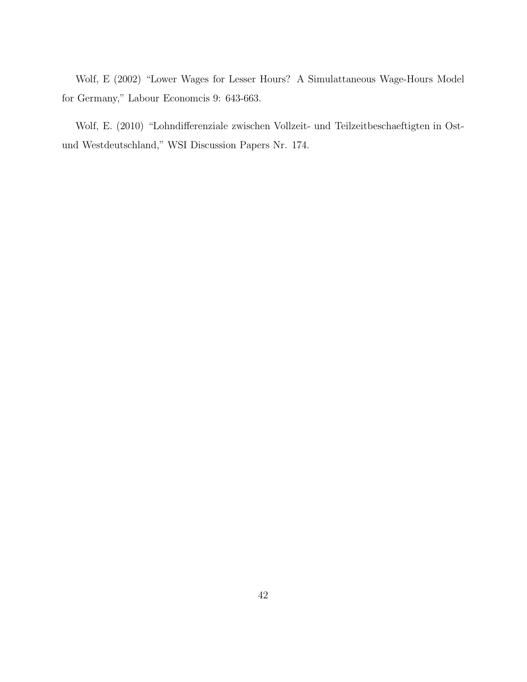Wolf, E (2002) "Lower Wages for Lesser Hours? A Simulattaneous Wage-Hours Model for Germany," Labour Economcis 9: 643-663.

Wolf, E. (2010) "Lohndifferenziale zwischen Vollzeit- und Teilzeitbeschaeftigten in Ostund Westdeutschland," WSI Discussion Papers Nr. 174.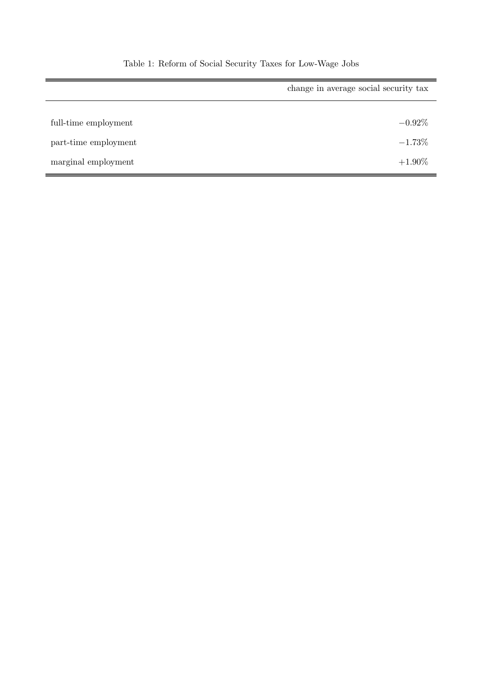|                      | change in average social security tax |  |
|----------------------|---------------------------------------|--|
| full-time employment | $-0.92\%$                             |  |
| part-time employment | $-1.73%$                              |  |
| marginal employment  | $+1.90\%$                             |  |

Table 1: Reform of Social Security Taxes for Low-Wage Jobs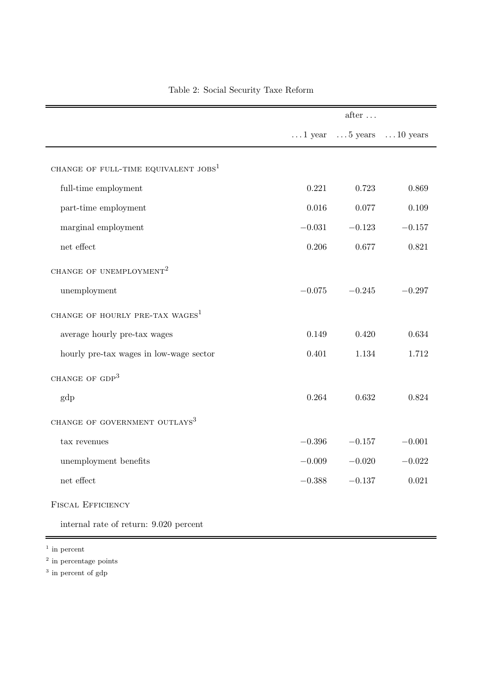|                                             |          | after $\dots$                                   |          |
|---------------------------------------------|----------|-------------------------------------------------|----------|
|                                             |          | $\dots$ 1 year $\dots$ 5 years $\dots$ 10 years |          |
| CHANGE OF FULL-TIME EQUIVALENT $\rm JOBS^1$ |          |                                                 |          |
| full-time employment                        | 0.221    | 0.723                                           | 0.869    |
| part-time employment                        | 0.016    | 0.077                                           | 0.109    |
| marginal employment                         | $-0.031$ | $-0.123$                                        | $-0.157$ |
| net effect                                  | 0.206    | 0.677                                           | 0.821    |
| CHANGE OF UNEMPLOYMENT <sup>2</sup>         |          |                                                 |          |
| unemployment                                | $-0.075$ | $-0.245$                                        | $-0.297$ |
| CHANGE OF HOURLY PRE-TAX WAGES <sup>1</sup> |          |                                                 |          |
| average hourly pre-tax wages                | 0.149    | 0.420                                           | 0.634    |
| hourly pre-tax wages in low-wage sector     | 0.401    | 1.134                                           | 1.712    |
| CHANGE OF GDP <sup>3</sup>                  |          |                                                 |          |
| gdp                                         | 0.264    | 0.632                                           | 0.824    |
| CHANGE OF GOVERNMENT OUTLAYS <sup>3</sup>   |          |                                                 |          |
| tax revenues                                | $-0.396$ | $-0.157$                                        | $-0.001$ |
| unemployment benefits                       | $-0.009$ | $-0.020$                                        | $-0.022$ |
| $\operatorname{net}$ effect                 | $-0.388$ | $-0.137$                                        | 0.021    |
| <b>FISCAL EFFICIENCY</b>                    |          |                                                 |          |

## Table 2: Social Security Taxe Reform

internal rate of return: 9.020 percent

<sup>1</sup> in percent

l,

<sup>2</sup> in percentage points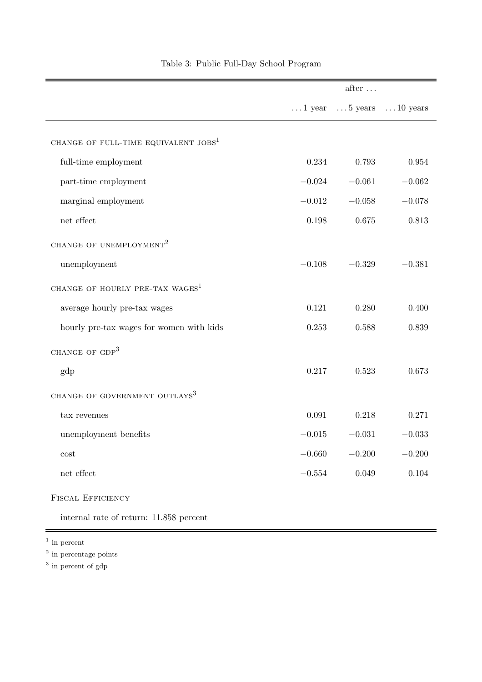|                                             |             | $after \dots$                                   |          |
|---------------------------------------------|-------------|-------------------------------------------------|----------|
|                                             |             | $\dots$ 1 year $\dots$ 5 years $\dots$ 10 years |          |
| CHANGE OF FULL-TIME EQUIVALENT $JOBS1$      |             |                                                 |          |
| full-time employment                        | 0.234       | 0.793                                           | 0.954    |
| part-time employment                        | $-0.024$    | $-0.061$                                        | $-0.062$ |
| marginal employment                         | $-0.012$    | $-0.058$                                        | $-0.078$ |
| $\operatorname{net}$ effect                 | $0.198\,$   | $0.675\,$                                       | 0.813    |
| CHANGE OF UNEMPLOYMENT <sup>2</sup>         |             |                                                 |          |
| unemployment                                | $-0.108$    | $-0.329$                                        | $-0.381$ |
| CHANGE OF HOURLY PRE-TAX WAGES <sup>1</sup> |             |                                                 |          |
| average hourly pre-tax wages                | 0.121       | 0.280                                           | 0.400    |
| hourly pre-tax wages for women with kids    | 0.253       | 0.588                                           | 0.839    |
| CHANGE OF GDP <sup>3</sup>                  |             |                                                 |          |
| gdp                                         | 0.217       | 0.523                                           | 0.673    |
| CHANGE OF GOVERNMENT OUTLAYS <sup>3</sup>   |             |                                                 |          |
| tax revenues                                | $\,0.091\,$ | 0.218                                           | 0.271    |
| unemployment benefits                       | $-0.015$    | $-0.031$                                        | $-0.033$ |
| cost                                        | $-0.660$    | $-0.200$                                        | $-0.200$ |
| $\operatorname{net}$ effect                 | $-0.554$    | 0.049                                           | 0.104    |
|                                             |             |                                                 |          |

### Table 3: Public Full-Day School Program

internal rate of return: 11.858 percent

<sup>1</sup> in percent

<sup>2</sup> in percentage points

FISCAL EFFICIENCY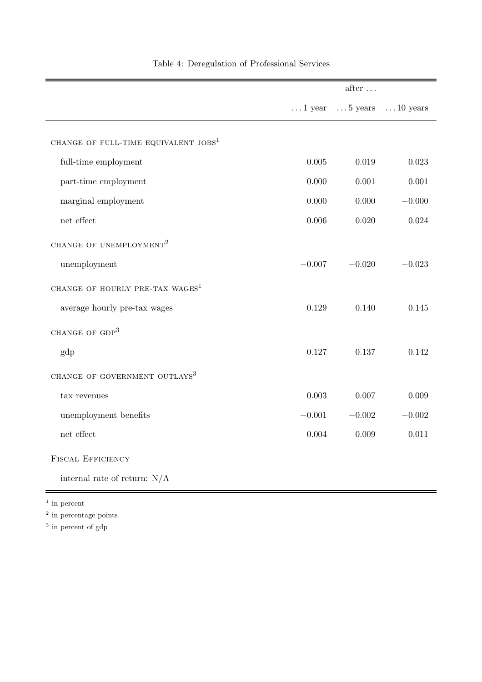|                                             |           | after $\dots$ |                                                 |
|---------------------------------------------|-----------|---------------|-------------------------------------------------|
|                                             |           |               | $\dots$ 1 year $\dots$ 5 years $\dots$ 10 years |
| CHANGE OF FULL-TIME EQUIVALENT $\rm JOBS^1$ |           |               |                                                 |
|                                             |           |               |                                                 |
| full-time employment                        | 0.005     | 0.019         | 0.023                                           |
| part-time employment                        | 0.000     | 0.001         | $0.001\,$                                       |
| marginal employment                         | 0.000     | 0.000         | $-0.000$                                        |
| $\operatorname{net}$ effect                 | $0.006\,$ | 0.020         | 0.024                                           |
| CHANGE OF UNEMPLOYMENT <sup>2</sup>         |           |               |                                                 |
| unemployment                                | $-0.007$  | $-0.020$      | $-0.023$                                        |
| CHANGE OF HOURLY PRE-TAX WAGES <sup>1</sup> |           |               |                                                 |
| average hourly pre-tax wages                | 0.129     | 0.140         | 0.145                                           |
| CHANGE OF GDP <sup>3</sup>                  |           |               |                                                 |
| gdp                                         | 0.127     | 0.137         | 0.142                                           |
| CHANGE OF GOVERNMENT OUTLAYS <sup>3</sup>   |           |               |                                                 |
| tax revenues                                | 0.003     | 0.007         | 0.009                                           |
| unemployment benefits                       | $-0.001$  | $-0.002$      | $-0.002$                                        |
| $\operatorname{net}$ effect                 | 0.004     | 0.009         | 0.011                                           |
| <b>FISCAL EFFICIENCY</b>                    |           |               |                                                 |
| internal rate of return: $N/A$              |           |               |                                                 |

÷,

### Table 4: Deregulation of Professional Services

<sup>1</sup> in percent

 $\equiv$ 

<sup>2</sup> in percentage points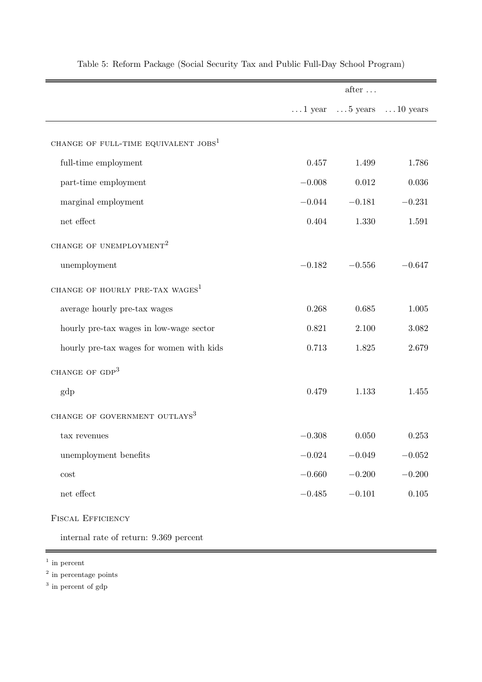|                                             |            | $after \dots$                                   |          |
|---------------------------------------------|------------|-------------------------------------------------|----------|
|                                             |            | $\dots$ 1 year $\dots$ 5 years $\dots$ 10 years |          |
| CHANGE OF FULL-TIME EQUIVALENT $JOBS1$      |            |                                                 |          |
| full-time employment                        | 0.457      | 1.499                                           | 1.786    |
| part-time employment                        | $-0.008$   | $\,0.012\,$                                     | 0.036    |
| marginal employment                         | $-0.044$   | $-0.181$                                        | $-0.231$ |
| $\operatorname{net}$ effect                 | 0.404      | 1.330                                           | 1.591    |
| CHANGE OF UNEMPLOYMENT <sup>2</sup>         |            |                                                 |          |
| unemployment                                | $-0.182$   | $-0.556$                                        | $-0.647$ |
| CHANGE OF HOURLY PRE-TAX WAGES <sup>1</sup> |            |                                                 |          |
| average hourly pre-tax wages                | 0.268      | 0.685                                           | 1.005    |
| hourly pre-tax wages in low-wage sector     | 0.821      | 2.100                                           | 3.082    |
| hourly pre-tax wages for women with kids    | 0.713      | 1.825                                           | 2.679    |
| CHANGE OF GDP <sup>3</sup>                  |            |                                                 |          |
| gdp                                         | 0.479      | 1.133                                           | 1.455    |
| CHANGE OF GOVERNMENT OUTLAYS <sup>3</sup>   |            |                                                 |          |
| tax revenues                                | $-0.308$   | 0.050                                           | 0.253    |
| unemployment benefits                       | $-0.024$   | $-0.049$                                        | $-0.052$ |
| $\mathop{\rm cost}\nolimits$                | $-0.660\,$ | $-0.200$                                        | $-0.200$ |
| $\operatorname{net}$ effect                 | $-0.485$   | $-0.101$                                        | 0.105    |
| <b>FISCAL EFFICIENCY</b>                    |            |                                                 |          |

Table 5: Reform Package (Social Security Tax and Public Full-Day School Program)

internal rate of return: 9.369 percent

<sup>1</sup> in percent

<sup>2</sup> in percentage points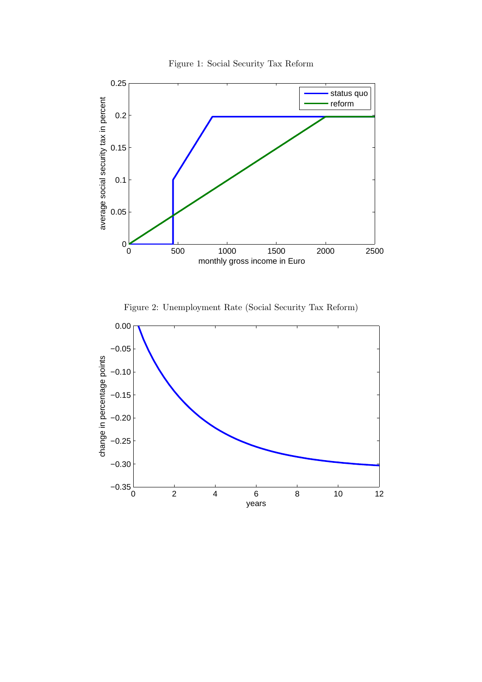



Figure 2: Unemployment Rate (Social Security Tax Reform)

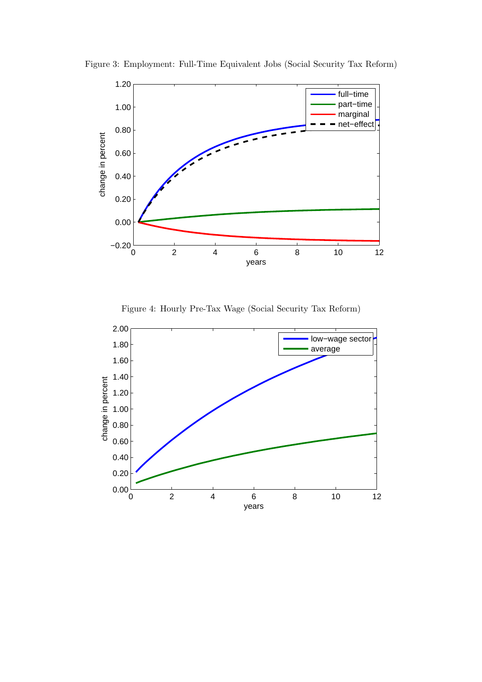

Figure 3: Employment: Full-Time Equivalent Jobs (Social Security Tax Reform)

Figure 4: Hourly Pre-Tax Wage (Social Security Tax Reform)

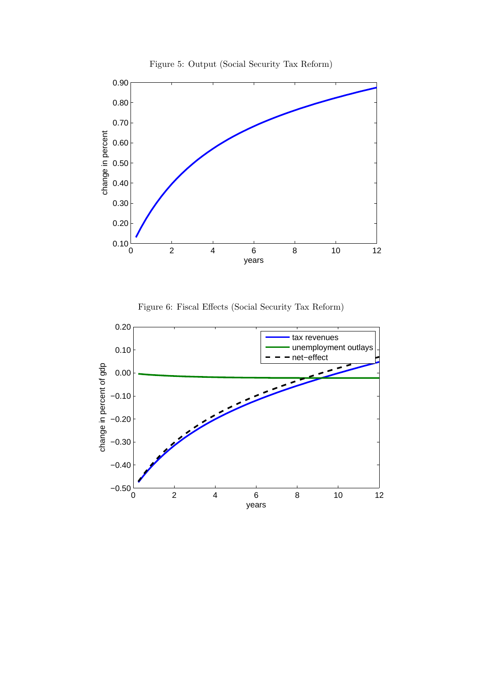

Figure 5: Output (Social Security Tax Reform)



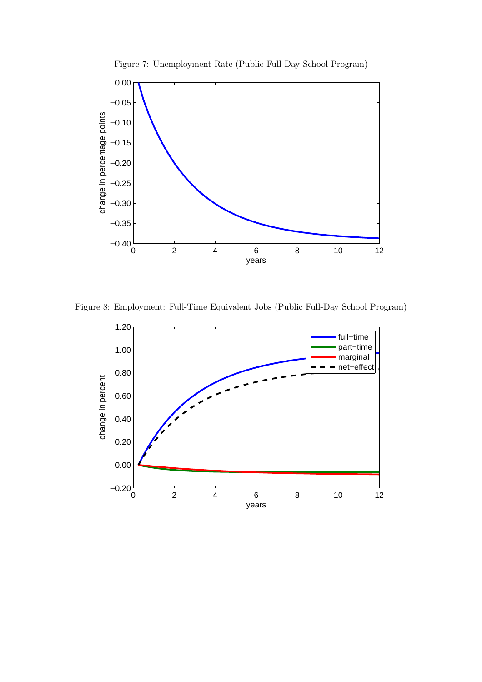

Figure 7: Unemployment Rate (Public Full-Day School Program)

Figure 8: Employment: Full-Time Equivalent Jobs (Public Full-Day School Program)

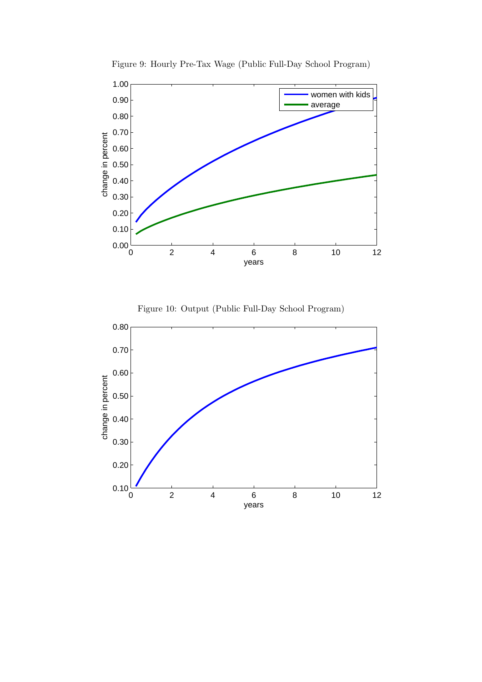

Figure 9: Hourly Pre-Tax Wage (Public Full-Day School Program)



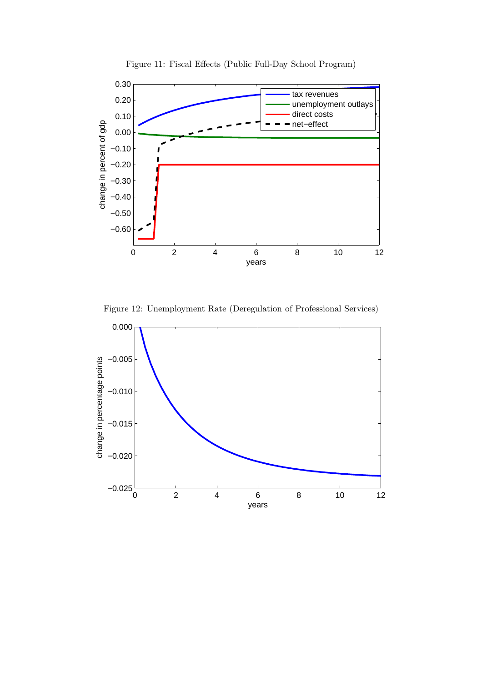

Figure 11: Fiscal Effects (Public Full-Day School Program)

Figure 12: Unemployment Rate (Deregulation of Professional Services)

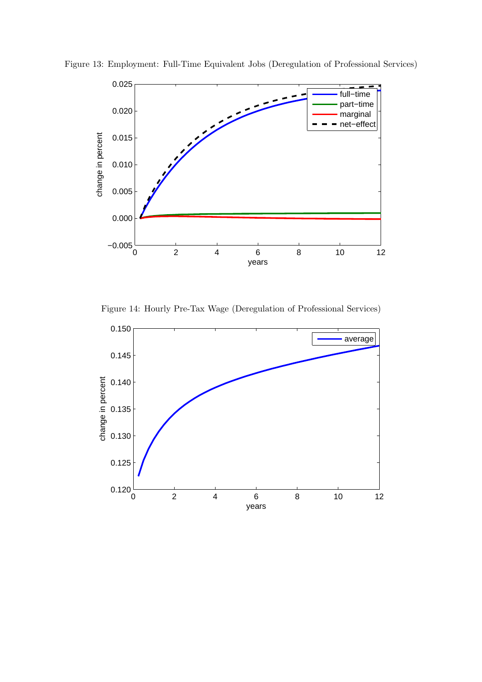

Figure 13: Employment: Full-Time Equivalent Jobs (Deregulation of Professional Services)

Figure 14: Hourly Pre-Tax Wage (Deregulation of Professional Services)